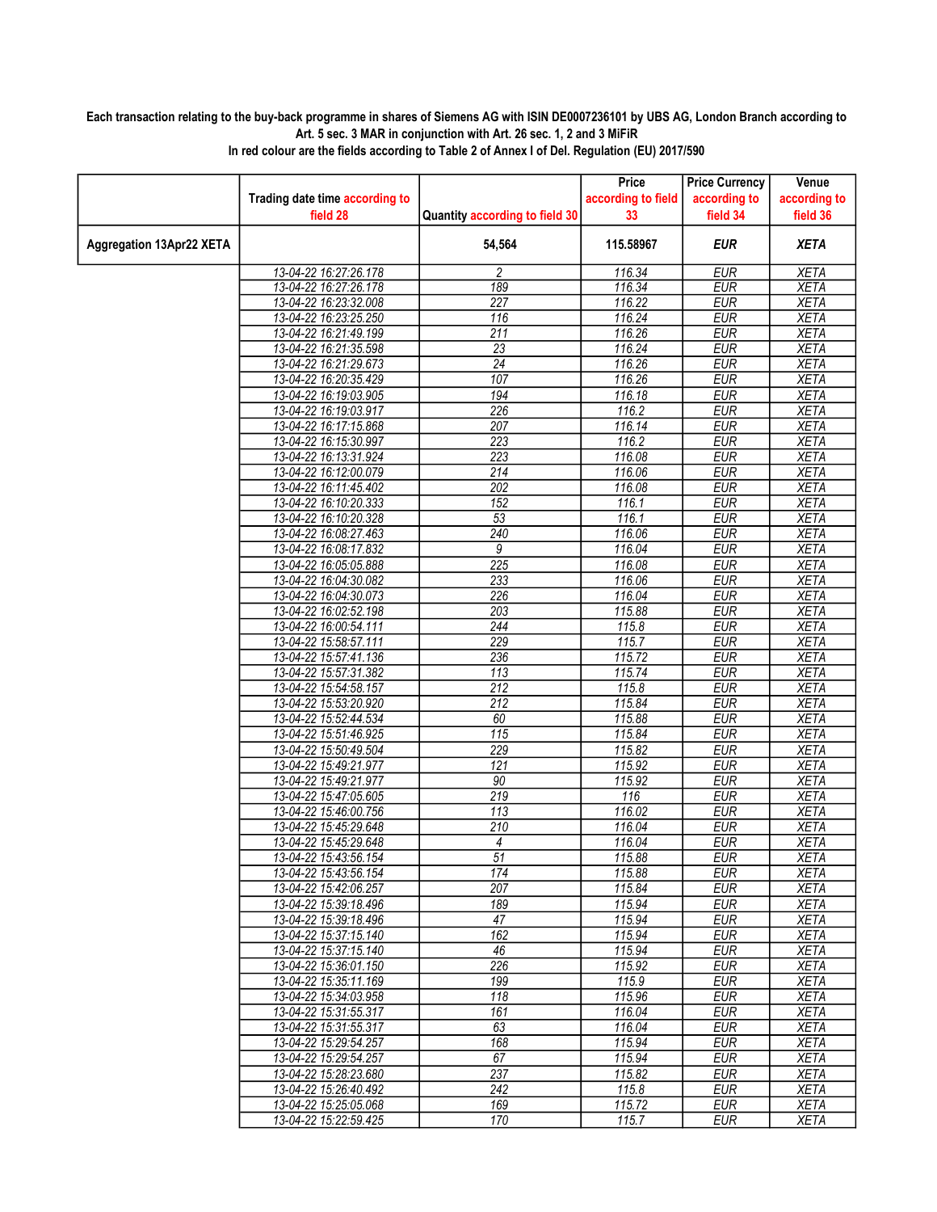## Each transaction relating to the buy-back programme in shares of Siemens AG with ISIN DE0007236101 by UBS AG, London Branch according to Art. 5 sec. 3 MAR in conjunction with Art. 26 sec. 1, 2 and 3 MiFiR

|                                 |                                                |                                | Price              | <b>Price Currency</b>    | Venue                      |
|---------------------------------|------------------------------------------------|--------------------------------|--------------------|--------------------------|----------------------------|
|                                 | Trading date time according to                 |                                | according to field | according to             | according to               |
|                                 | field 28                                       | Quantity according to field 30 | 33                 | field 34                 | field 36                   |
| <b>Aggregation 13Apr22 XETA</b> |                                                | 54,564                         | 115.58967          | <b>EUR</b>               | <b>XETA</b>                |
|                                 | 13-04-22 16:27:26.178                          | 2                              | 116.34             | <b>EUR</b>               | <b>XETA</b>                |
|                                 | 13-04-22 16:27:26.178                          | 189                            | 116.34             | <b>EUR</b>               | <b>XETA</b>                |
|                                 | 13-04-22 16:23:32.008                          | 227                            | 116.22             | EUR                      | <b>XETA</b>                |
|                                 | 13-04-22 16:23:25.250                          | 116                            | 116.24             | <b>EUR</b>               | <b>XETA</b>                |
|                                 | 13-04-22 16:21:49.199                          | $\overline{211}$               | 116.26             | <b>EUR</b>               | <b>XETA</b>                |
|                                 | 13-04-22 16:21:35.598                          | $\overline{23}$                | 116.24             | <b>EUR</b>               | <b>XETA</b>                |
|                                 | 13-04-22 16:21:29.673                          | 24                             | 116.26             | <b>EUR</b>               | <b>XETA</b>                |
|                                 | 13-04-22 16:20:35.429                          | 107                            | 116.26             | <b>EUR</b>               | <b>XETA</b>                |
|                                 | 13-04-22 16:19:03.905                          | 194                            | 116.18             | <b>EUR</b>               | <b>XETA</b>                |
|                                 | 13-04-22 16:19:03.917                          | 226                            | 116.2              | <b>EUR</b>               | <b>XETA</b>                |
|                                 | 13-04-22 16:17:15.868                          | 207                            | 116.14             | <b>EUR</b>               | <b>XETA</b>                |
|                                 | 13-04-22 16:15:30.997                          | 223                            | 116.2              | <b>EUR</b>               | <b>XETA</b>                |
|                                 | 13-04-22 16:13:31.924                          | 223                            | 116.08             | <b>EUR</b>               | <b>XETA</b>                |
|                                 | 13-04-22 16:12:00.079                          | 214                            | 116.06             | <b>EUR</b>               | <b>XETA</b>                |
|                                 | 13-04-22 16:11:45.402                          | 202                            | 116.08             | <b>EUR</b>               | <b>XETA</b>                |
|                                 | 13-04-22 16:10:20.333                          | $\overline{152}$               | 116.1              | <b>EUR</b>               | <b>XETA</b>                |
|                                 | 13-04-22 16:10:20.328                          | 53                             | 116.1              | <b>EUR</b>               | <b>XETA</b>                |
|                                 | 13-04-22 16:08:27.463                          | 240                            | 116.06             | <b>EUR</b>               | <b>XETA</b>                |
|                                 | 13-04-22 16:08:17.832                          | 9<br>225                       | 116.04             | <b>EUR</b>               | <b>XETA</b>                |
|                                 | 13-04-22 16:05:05.888<br>13-04-22 16:04:30.082 | 233                            | 116.08<br>116.06   | <b>EUR</b><br><b>EUR</b> | <b>XETA</b><br><b>XETA</b> |
|                                 | 13-04-22 16:04:30.073                          | 226                            | 116.04             | <b>EUR</b>               | <b>XETA</b>                |
|                                 |                                                | 203                            | 115.88             | <b>EUR</b>               |                            |
|                                 | 13-04-22 16:02:52.198<br>13-04-22 16:00:54.111 | 244                            | 115.8              | <b>EUR</b>               | <b>XETA</b><br><b>XETA</b> |
|                                 | 13-04-22 15:58:57.111                          | 229                            | 115.7              | <b>EUR</b>               | <b>XETA</b>                |
|                                 | 13-04-22 15:57:41.136                          | 236                            | 115.72             | <b>EUR</b>               | <b>XETA</b>                |
|                                 | 13-04-22 15:57:31.382                          | 113                            | 115.74             | <b>EUR</b>               | <b>XETA</b>                |
|                                 | 13-04-22 15:54:58.157                          | 212                            | 115.8              | <b>EUR</b>               | <b>XETA</b>                |
|                                 | 13-04-22 15:53:20.920                          | 212                            | 115.84             | <b>EUR</b>               | <b>XETA</b>                |
|                                 | 13-04-22 15:52:44.534                          | 60                             | 115.88             | <b>EUR</b>               | <b>XETA</b>                |
|                                 | 13-04-22 15:51:46.925                          | $\overline{115}$               | 115.84             | <b>EUR</b>               | <b>XETA</b>                |
|                                 | 13-04-22 15:50:49.504                          | 229                            | 115.82             | <b>EUR</b>               | <b>XETA</b>                |
|                                 | 13-04-22 15:49:21.977                          | 121                            | 115.92             | <b>EUR</b>               | <b>XETA</b>                |
|                                 | 13-04-22 15:49:21.977                          | $\overline{90}$                | 115.92             | <b>EUR</b>               | <b>XETA</b>                |
|                                 | 13-04-22 15:47:05.605                          | 219                            | 116                | <b>EUR</b>               | <b>XETA</b>                |
|                                 | 13-04-22 15:46:00.756                          | 113                            | 116.02             | <b>EUR</b>               | <b>XETA</b>                |
|                                 | 13-04-22 15:45:29.648                          | 210                            | 116.04             | <b>EUR</b>               | <b>XETA</b>                |
|                                 | 13-04-22 15:45:29.648                          | 4                              | 116.04             | <b>EUR</b>               | <b>XETA</b>                |
|                                 | 13-04-22 15:43:56.154                          | 51                             | 115.88             | <b>EUR</b>               | <b>XETA</b>                |
|                                 | 13-04-22 15:43:56.154                          | 174                            | 115.88             | <b>EUR</b>               | <b>XETA</b>                |
|                                 | 13-04-22 15:42:06.257                          | 207                            | 115.84             | EUR                      | XETA                       |
|                                 | 13-04-22 15:39:18.496                          | 189                            | 115.94             | <b>EUR</b>               | <b>XETA</b>                |
|                                 | 13-04-22 15:39:18.496                          | 47                             | 115.94             | <b>EUR</b>               | <b>XETA</b>                |
|                                 | 13-04-22 15:37:15.140                          | 162                            | 115.94             | EUR                      | <b>XETA</b>                |
|                                 | 13-04-22 15:37:15.140                          | 46                             | 115.94             | <b>EUR</b>               | <b>XETA</b>                |
|                                 | 13-04-22 15:36:01.150                          | 226                            | 115.92             | <b>EUR</b>               | <b>XETA</b>                |
|                                 | 13-04-22 15:35:11.169                          | 199                            | 115.9              | <b>EUR</b>               | <b>XETA</b>                |
|                                 | 13-04-22 15:34:03.958                          | 118                            | 115.96             | <b>EUR</b>               | <b>XETA</b>                |
|                                 | 13-04-22 15:31:55.317                          | 161                            | 116.04             | <b>EUR</b>               | <b>XETA</b>                |
|                                 | 13-04-22 15:31:55.317                          | 63                             | 116.04             | <b>EUR</b>               | <b>XETA</b>                |
|                                 | 13-04-22 15:29:54.257                          | 168                            | 115.94             | <b>EUR</b>               | <b>XETA</b>                |
|                                 | 13-04-22 15:29:54.257                          | 67                             | 115.94             | <b>EUR</b>               | <b>XETA</b>                |
|                                 | 13-04-22 15:28:23.680                          | 237                            | 115.82             | <b>EUR</b>               | <b>XETA</b>                |
|                                 | 13-04-22 15:26:40.492                          | 242                            | 115.8              | <b>EUR</b>               | <b>XETA</b>                |
|                                 | 13-04-22 15:25:05.068                          | 169                            | 115.72             | <b>EUR</b>               | <b>XETA</b>                |
|                                 | 13-04-22 15:22:59.425                          | 170                            | 115.7              | <b>EUR</b>               | <b>XETA</b>                |

In red colour are the fields according to Table 2 of Annex I of Del. Regulation (EU) 2017/590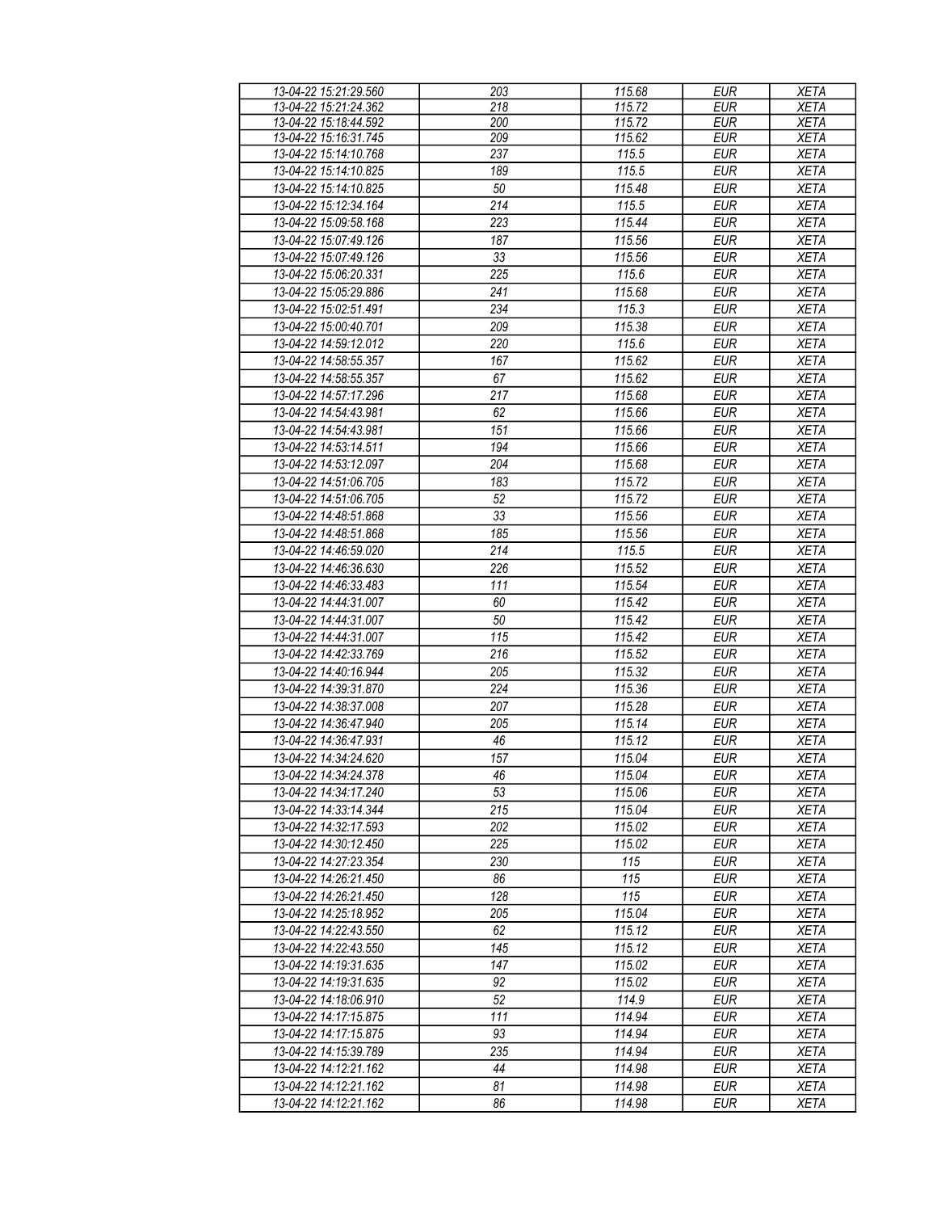| 13-04-22 15:21:29.560 | 203         | 115.68 | <b>EUR</b> | <b>XETA</b> |
|-----------------------|-------------|--------|------------|-------------|
| 13-04-22 15:21:24.362 | 218         | 115.72 | <b>EUR</b> | <b>XETA</b> |
| 13-04-22 15:18:44.592 | 200         | 115.72 | <b>EUR</b> | <b>XETA</b> |
| 13-04-22 15:16:31.745 | 209         | 115.62 | <b>EUR</b> | <b>XETA</b> |
| 13-04-22 15:14:10.768 | 237         | 115.5  | <b>EUR</b> | <b>XETA</b> |
| 13-04-22 15:14:10.825 | 189         | 115.5  | <b>EUR</b> | <b>XETA</b> |
|                       |             |        |            |             |
| 13-04-22 15:14:10.825 | 50          | 115.48 | <b>EUR</b> | <b>XETA</b> |
| 13-04-22 15:12:34.164 | 214         | 115.5  | <b>EUR</b> | <b>XETA</b> |
| 13-04-22 15:09:58.168 | 223         | 115.44 | <b>EUR</b> | <b>XETA</b> |
| 13-04-22 15:07:49.126 | 187         | 115.56 | <b>EUR</b> | <b>XETA</b> |
| 13-04-22 15:07:49.126 | 33          | 115.56 | <b>EUR</b> | <b>XETA</b> |
| 13-04-22 15:06:20.331 | 225         | 115.6  | <b>EUR</b> | <b>XETA</b> |
| 13-04-22 15:05:29.886 | 241         | 115.68 | <b>EUR</b> | <b>XETA</b> |
| 13-04-22 15:02:51.491 | 234         | 115.3  | <b>EUR</b> | <b>XETA</b> |
| 13-04-22 15:00:40.701 | 209         | 115.38 | <b>EUR</b> | <b>XETA</b> |
| 13-04-22 14:59:12.012 | 220         | 115.6  | <b>EUR</b> | <b>XETA</b> |
|                       |             |        |            |             |
| 13-04-22 14:58:55.357 | 167         | 115.62 | <b>EUR</b> | <b>XETA</b> |
| 13-04-22 14:58:55.357 | 67          | 115.62 | <b>EUR</b> | <b>XETA</b> |
| 13-04-22 14:57:17.296 | 217         | 115.68 | <b>EUR</b> | <b>XETA</b> |
| 13-04-22 14:54:43.981 | 62          | 115.66 | <b>EUR</b> | <b>XETA</b> |
| 13-04-22 14:54:43.981 | 151         | 115.66 | <b>EUR</b> | <b>XETA</b> |
| 13-04-22 14:53:14.511 | 194         | 115.66 | <b>EUR</b> | <b>XETA</b> |
| 13-04-22 14:53:12.097 | $20\bar{4}$ | 115.68 | <b>EUR</b> | <b>XETA</b> |
| 13-04-22 14:51:06.705 | 183         | 115.72 | <b>EUR</b> | <b>XETA</b> |
| 13-04-22 14:51:06.705 | 52          | 115.72 | <b>EUR</b> | <b>XETA</b> |
| 13-04-22 14:48:51.868 | 33          | 115.56 | <b>EUR</b> | <b>XETA</b> |
|                       |             |        |            |             |
| 13-04-22 14:48:51.868 | 185         | 115.56 | <b>EUR</b> | <b>XETA</b> |
| 13-04-22 14:46:59.020 | 214         | 115.5  | <b>EUR</b> | <b>XETA</b> |
| 13-04-22 14:46:36.630 | 226         | 115.52 | <b>EUR</b> | <b>XETA</b> |
| 13-04-22 14:46:33.483 | 111         | 115.54 | <b>EUR</b> | <b>XETA</b> |
| 13-04-22 14:44:31.007 | 60          | 115.42 | <b>EUR</b> | <b>XETA</b> |
| 13-04-22 14:44:31.007 | 50          | 115.42 | <b>EUR</b> | <b>XETA</b> |
| 13-04-22 14:44:31.007 | 115         | 115.42 | <b>EUR</b> | <b>XETA</b> |
| 13-04-22 14:42:33.769 | 216         | 115.52 | <b>EUR</b> | <b>XETA</b> |
| 13-04-22 14:40:16.944 | 205         | 115.32 | <b>EUR</b> | <b>XETA</b> |
| 13-04-22 14:39:31.870 | 224         | 115.36 | <b>EUR</b> | <b>XETA</b> |
| 13-04-22 14:38:37.008 | 207         | 115.28 | <b>EUR</b> | <b>XETA</b> |
| 13-04-22 14:36:47.940 | 205         | 115.14 | <b>EUR</b> | <b>XETA</b> |
| 13-04-22 14:36:47.931 | 46          |        | <b>EUR</b> | <b>XETA</b> |
|                       |             | 115.12 |            |             |
| 13-04-22 14:34:24.620 | 157         | 115.04 | <b>EUR</b> | <b>XETA</b> |
| 13-04-22 14:34:24.378 | 46          | 115.04 | EUR        | <b>XETA</b> |
| 13-04-22 14:34:17.240 | 53          | 115.06 | <b>EUR</b> | <b>XETA</b> |
| 13-04-22 14:33:14.344 | 215         | 115.04 | EUR        | <b>XETA</b> |
| 13-04-22 14:32:17.593 | 202         | 115.02 | <b>EUR</b> | <b>XETA</b> |
| 13-04-22 14:30:12.450 | 225         | 115.02 | <b>EUR</b> | XETA        |
| 13-04-22 14:27:23.354 | 230         | 115    | <b>EUR</b> | XETA        |
| 13-04-22 14:26:21.450 | 86          | 115    | <b>EUR</b> | XETA        |
| 13-04-22 14:26:21.450 | 128         | 115    | <b>EUR</b> | <b>XETA</b> |
| 13-04-22 14:25:18.952 | 205         | 115.04 | <b>EUR</b> | <b>XETA</b> |
| 13-04-22 14:22:43.550 | 62          | 115.12 | <b>EUR</b> | <b>XETA</b> |
| 13-04-22 14:22:43.550 | 145         | 115.12 | EUR        |             |
|                       |             |        |            | <b>XETA</b> |
| 13-04-22 14:19:31.635 | 147         | 115.02 | <b>EUR</b> | <b>XETA</b> |
| 13-04-22 14:19:31.635 | 92          | 115.02 | <b>EUR</b> | <b>XETA</b> |
| 13-04-22 14:18:06.910 | 52          | 114.9  | <b>EUR</b> | XETA        |
| 13-04-22 14:17:15.875 | 111         | 114.94 | <b>EUR</b> | XETA        |
| 13-04-22 14:17:15.875 | 93          | 114.94 | <b>EUR</b> | <b>XETA</b> |
| 13-04-22 14:15:39.789 | 235         | 114.94 | <b>EUR</b> | <b>XETA</b> |
| 13-04-22 14:12:21.162 | 44          | 114.98 | <b>EUR</b> | <b>XETA</b> |
| 13-04-22 14:12:21.162 | 81          | 114.98 | EUR        | <b>XETA</b> |
| 13-04-22 14:12:21.162 | 86          | 114.98 | <b>EUR</b> | <b>XETA</b> |
|                       |             |        |            |             |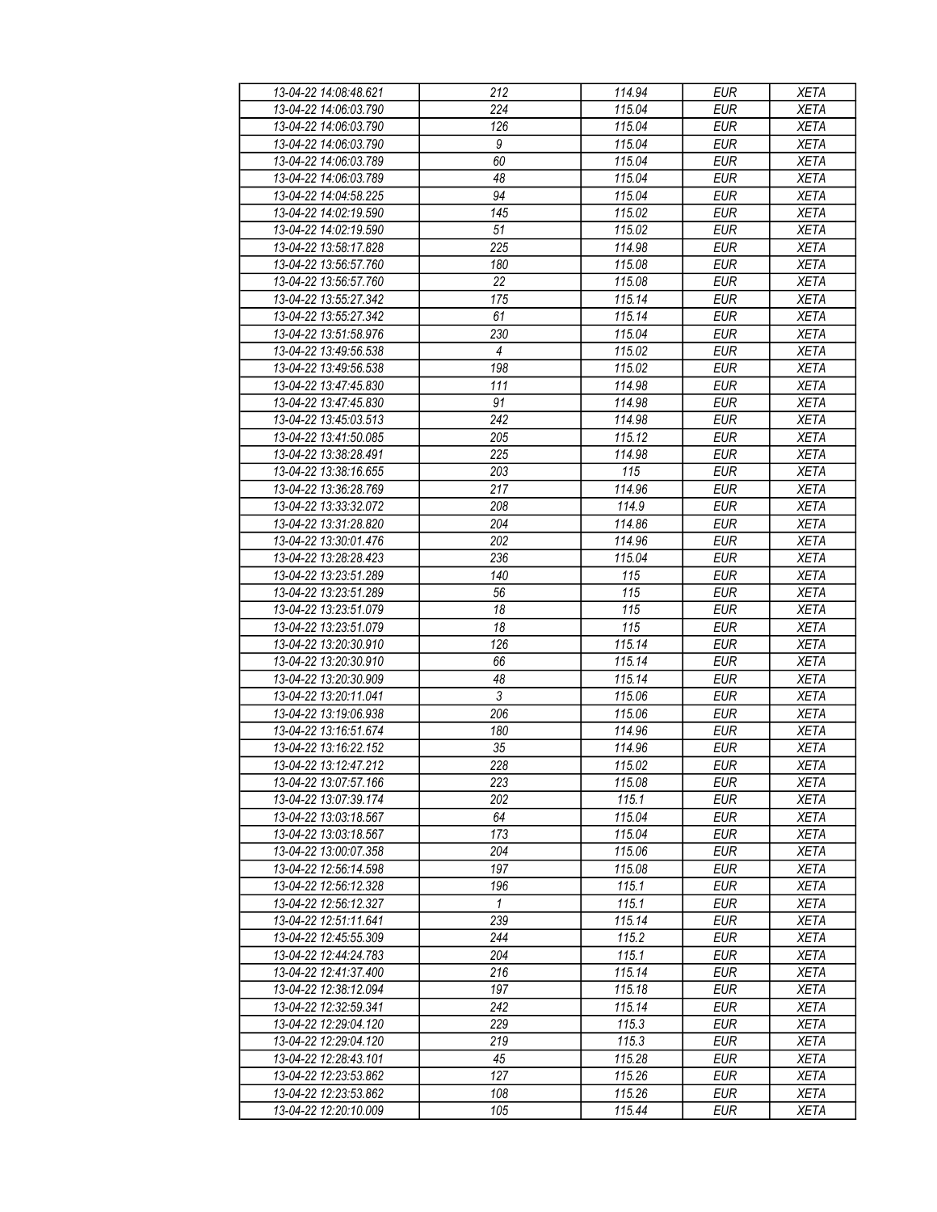| 13-04-22 14:08:48.621 | 212              | 114.94              | <b>EUR</b> | <b>XETA</b> |
|-----------------------|------------------|---------------------|------------|-------------|
| 13-04-22 14:06:03.790 | 224              | 115.04              | <b>EUR</b> | <b>XETA</b> |
| 13-04-22 14:06:03.790 | 126              | 115.04              | <b>EUR</b> | <b>XETA</b> |
| 13-04-22 14:06:03.790 | $\boldsymbol{9}$ | 115.04              | <b>EUR</b> | <b>XETA</b> |
| 13-04-22 14:06:03.789 | 60               | 115.04              | <b>EUR</b> | <b>XETA</b> |
| 13-04-22 14:06:03.789 | 48               | 115.04              | <b>EUR</b> | <b>XETA</b> |
|                       | 94               | 115.04              | <b>EUR</b> |             |
| 13-04-22 14:04:58.225 |                  |                     |            | <b>XETA</b> |
| 13-04-22 14:02:19.590 | 145              | 115.02              | <b>EUR</b> | <b>XETA</b> |
| 13-04-22 14:02:19.590 | 51               | 115.02              | <b>EUR</b> | <b>XETA</b> |
| 13-04-22 13:58:17.828 | 225              | 114.98              | <b>EUR</b> | <b>XETA</b> |
| 13-04-22 13:56:57.760 | 180              | 115.08              | <b>EUR</b> | <b>XETA</b> |
| 13-04-22 13:56:57.760 | 22               | 115.08              | <b>EUR</b> | <b>XETA</b> |
| 13-04-22 13:55:27.342 | 175              | 115.14              | <b>EUR</b> | <b>XETA</b> |
| 13-04-22 13:55:27.342 | 61               | 115.14              | <b>EUR</b> | <b>XETA</b> |
| 13-04-22 13:51:58.976 | 230              | 115.04              | <b>EUR</b> | <b>XETA</b> |
| 13-04-22 13:49:56.538 | 4                | 115.02              | <b>EUR</b> | <b>XETA</b> |
| 13-04-22 13:49:56.538 | 198              | 115.02              | <b>EUR</b> | <b>XETA</b> |
| 13-04-22 13:47:45.830 | 111              | 114.98              | <b>EUR</b> | <b>XETA</b> |
| 13-04-22 13:47:45.830 | 91               | 114.98              | <b>EUR</b> | <b>XETA</b> |
| 13-04-22 13:45:03.513 | $\overline{242}$ | 114.98              | <b>EUR</b> | <b>XETA</b> |
| 13-04-22 13:41:50.085 | 205              | 115.12              | <b>EUR</b> | <b>XETA</b> |
| 13-04-22 13:38:28.491 | 225              | 114.98              | <b>EUR</b> | <b>XETA</b> |
| 13-04-22 13:38:16.655 | 203              | 115                 | <b>EUR</b> | <b>XETA</b> |
| 13-04-22 13:36:28.769 | 217              | 114.96              | <b>EUR</b> | <b>XETA</b> |
| 13-04-22 13:33:32.072 | 208              | 114.9               | <b>EUR</b> | <b>XETA</b> |
| 13-04-22 13:31:28.820 | 204              | 114.86              | <b>EUR</b> | <b>XETA</b> |
|                       |                  |                     |            |             |
| 13-04-22 13:30:01.476 | 202              | 114.96              | <b>EUR</b> | <b>XETA</b> |
| 13-04-22 13:28:28.423 | 236              | 115.04              | <b>EUR</b> | <b>XETA</b> |
| 13-04-22 13:23:51.289 | 140              | 115                 | <b>EUR</b> | <b>XETA</b> |
| 13-04-22 13:23:51.289 | 56               | 115                 | <b>EUR</b> | <b>XETA</b> |
| 13-04-22 13:23:51.079 | 18               | 115                 | <b>EUR</b> | <b>XETA</b> |
| 13-04-22 13:23:51.079 | 18               | 115                 | <b>EUR</b> | <b>XETA</b> |
| 13-04-22 13:20:30.910 | 126              | 115.14              | <b>EUR</b> | <b>XETA</b> |
| 13-04-22 13:20:30.910 | 66               | 115.14              | <b>EUR</b> | <b>XETA</b> |
| 13-04-22 13:20:30.909 | 48               | 115.14              | <b>EUR</b> | <b>XETA</b> |
| 13-04-22 13:20:11.041 | $\overline{3}$   | 115.06              | <b>EUR</b> | <b>XETA</b> |
| 13-04-22 13:19:06.938 | 206              | 115.06              | <b>EUR</b> | <b>XETA</b> |
| 13-04-22 13:16:51.674 | 180              | 114.96              | <b>EUR</b> | <b>XETA</b> |
| 13-04-22 13:16:22.152 | 35               | 114.96              | <b>EUR</b> | <b>XETA</b> |
| 13-04-22 13:12:47.212 | 228              | 115.02              | <b>EUR</b> | <b>XETA</b> |
| 13-04-22 13:07:57.166 | 223              | 115.08              | EUR        | XETA        |
| 13-04-22 13:07:39.174 | 202              | 115.1               | <b>EUR</b> | <b>XETA</b> |
| 13-04-22 13:03:18.567 | 64               | 115.04              | <b>EUR</b> | <b>XETA</b> |
| 13-04-22 13:03:18.567 | 173              | 115.04              | <b>EUR</b> | <b>XETA</b> |
| 13-04-22 13:00:07.358 | 204              | 115.06              | <b>EUR</b> | <b>XETA</b> |
| 13-04-22 12:56:14.598 | 197              | 115.08              | <b>EUR</b> | <b>XETA</b> |
| 13-04-22 12:56:12.328 | 196              | 115.1               | <b>EUR</b> | <b>XETA</b> |
| 13-04-22 12:56:12.327 | $\mathbf{1}$     | 115.1               | <b>EUR</b> | <b>XETA</b> |
|                       |                  |                     |            |             |
| 13-04-22 12:51:11.641 | 239              | 115.14              | <b>EUR</b> | <b>XETA</b> |
| 13-04-22 12:45:55.309 | 244              | 115.2               | EUR        | <b>XETA</b> |
| 13-04-22 12:44:24.783 | 204              | 115.1               | <b>EUR</b> | <b>XETA</b> |
| 13-04-22 12:41:37.400 | 216              | $\overline{1}15.14$ | <b>EUR</b> | <b>XETA</b> |
| 13-04-22 12:38:12.094 | 197              | 115.18              | <b>EUR</b> | <b>XETA</b> |
| 13-04-22 12:32:59.341 | 242              | 115.14              | <b>EUR</b> | <b>XETA</b> |
| 13-04-22 12:29:04.120 | 229              | 115.3               | <b>EUR</b> | <b>XETA</b> |
| 13-04-22 12:29:04.120 | 219              | 115.3               | <b>EUR</b> | <b>XETA</b> |
| 13-04-22 12:28:43.101 | 45               | 115.28              | <b>EUR</b> | <b>XETA</b> |
| 13-04-22 12:23:53.862 | 127              | 115.26              | EUR        | XETA        |
| 13-04-22 12:23:53.862 | 108              | 115.26              | EUR        | <b>XETA</b> |
| 13-04-22 12:20:10.009 | 105              | 115.44              | EUR        | <b>XETA</b> |
|                       |                  |                     |            |             |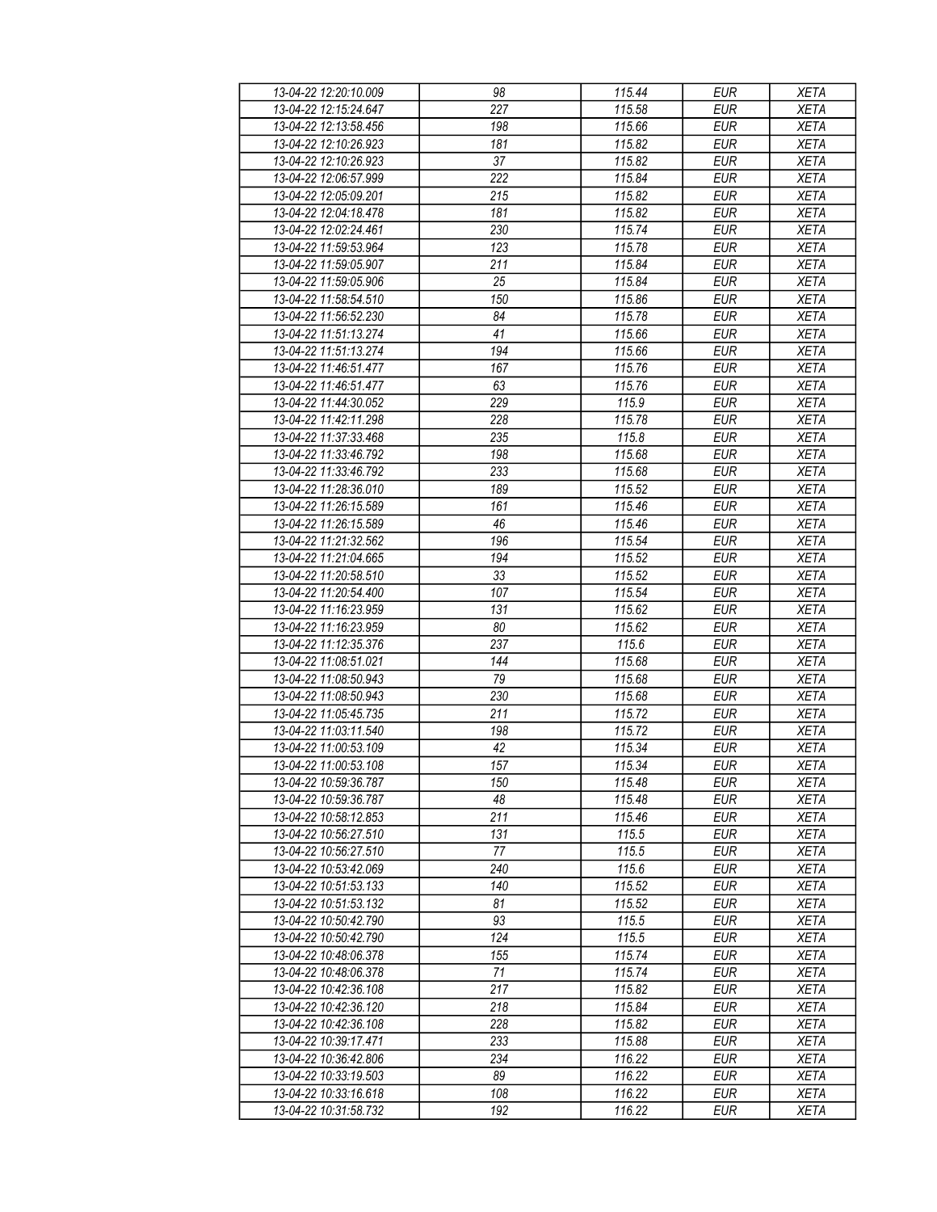| 13-04-22 12:20:10.009 | 98  | 115.44 | <b>EUR</b> | <b>XETA</b> |
|-----------------------|-----|--------|------------|-------------|
| 13-04-22 12:15:24.647 | 227 | 115.58 | <b>EUR</b> | <b>XETA</b> |
| 13-04-22 12:13:58.456 | 198 | 115.66 | <b>EUR</b> | <b>XETA</b> |
| 13-04-22 12:10:26.923 | 181 | 115.82 | <b>EUR</b> | <b>XETA</b> |
| 13-04-22 12:10:26.923 | 37  | 115.82 | <b>EUR</b> | <b>XETA</b> |
| 13-04-22 12:06:57.999 | 222 | 115.84 | <b>EUR</b> | <b>XETA</b> |
|                       |     | 115.82 | <b>EUR</b> |             |
| 13-04-22 12:05:09.201 | 215 |        |            | <b>XETA</b> |
| 13-04-22 12:04:18.478 | 181 | 115.82 | <b>EUR</b> | <b>XETA</b> |
| 13-04-22 12:02:24.461 | 230 | 115.74 | <b>EUR</b> | <b>XETA</b> |
| 13-04-22 11:59:53.964 | 123 | 115.78 | <b>EUR</b> | <b>XETA</b> |
| 13-04-22 11:59:05.907 | 211 | 115.84 | <b>EUR</b> | <b>XETA</b> |
| 13-04-22 11:59:05.906 | 25  | 115.84 | <b>EUR</b> | <b>XETA</b> |
| 13-04-22 11:58:54.510 | 150 | 115.86 | <b>EUR</b> | <b>XETA</b> |
| 13-04-22 11:56:52.230 | 84  | 115.78 | <b>EUR</b> | <b>XETA</b> |
| 13-04-22 11:51:13.274 | 41  | 115.66 | <b>EUR</b> | <b>XETA</b> |
| 13-04-22 11:51:13.274 | 194 | 115.66 | <b>EUR</b> | <b>XETA</b> |
| 13-04-22 11:46:51.477 | 167 | 115.76 | <b>EUR</b> | <b>XETA</b> |
| 13-04-22 11:46:51.477 | 63  | 115.76 | <b>EUR</b> | <b>XETA</b> |
| 13-04-22 11:44:30.052 | 229 | 115.9  | <b>EUR</b> | <b>XETA</b> |
| 13-04-22 11:42:11.298 | 228 | 115.78 | <b>EUR</b> | <b>XETA</b> |
| 13-04-22 11:37:33.468 | 235 | 115.8  | <b>EUR</b> | <b>XETA</b> |
| 13-04-22 11:33:46.792 | 198 | 115.68 | <b>EUR</b> | <b>XETA</b> |
| 13-04-22 11:33:46.792 | 233 | 115.68 | <b>EUR</b> | <b>XETA</b> |
| 13-04-22 11:28:36.010 | 189 | 115.52 | <b>EUR</b> | <b>XETA</b> |
| 13-04-22 11:26:15.589 | 161 | 115.46 | <b>EUR</b> | <b>XETA</b> |
| 13-04-22 11:26:15.589 | 46  | 115.46 | <b>EUR</b> | <b>XETA</b> |
| 13-04-22 11:21:32.562 | 196 | 115.54 | <b>EUR</b> | <b>XETA</b> |
| 13-04-22 11:21:04.665 | 194 | 115.52 | <b>EUR</b> | <b>XETA</b> |
| 13-04-22 11:20:58.510 | 33  | 115.52 | <b>EUR</b> | <b>XETA</b> |
| 13-04-22 11:20:54.400 | 107 | 115.54 | <b>EUR</b> | <b>XETA</b> |
|                       |     |        |            |             |
| 13-04-22 11:16:23.959 | 131 | 115.62 | <b>EUR</b> | <b>XETA</b> |
| 13-04-22 11:16:23.959 | 80  | 115.62 | <b>EUR</b> | <b>XETA</b> |
| 13-04-22 11:12:35.376 | 237 | 115.6  | <b>EUR</b> | <b>XETA</b> |
| 13-04-22 11:08:51.021 | 144 | 115.68 | <b>EUR</b> | <b>XETA</b> |
| 13-04-22 11:08:50.943 | 79  | 115.68 | <b>EUR</b> | <b>XETA</b> |
| 13-04-22 11:08:50.943 | 230 | 115.68 | <b>EUR</b> | <b>XETA</b> |
| 13-04-22 11:05:45.735 | 211 | 115.72 | <b>EUR</b> | <b>XETA</b> |
| 13-04-22 11:03:11.540 | 198 | 115.72 | <b>EUR</b> | <b>XETA</b> |
| 13-04-22 11:00:53.109 | 42  | 115.34 | <b>EUR</b> | <b>XETA</b> |
| 13-04-22 11:00:53.108 | 157 | 115.34 | <b>EUR</b> | <b>XETA</b> |
| 13-04-22 10:59:36.787 | 150 | 115.48 | EUR        | XETA        |
| 13-04-22 10:59:36.787 | 48  | 115.48 | <b>EUR</b> | <b>XETA</b> |
| 13-04-22 10:58:12.853 | 211 | 115.46 | <b>EUR</b> | <b>XETA</b> |
| 13-04-22 10:56:27.510 | 131 | 115.5  | <b>EUR</b> | <b>XETA</b> |
| 13-04-22 10:56:27.510 | 77  | 115.5  | <b>EUR</b> | <b>XETA</b> |
| 13-04-22 10:53:42.069 | 240 | 115.6  | <b>EUR</b> | <b>XETA</b> |
| 13-04-22 10:51:53.133 | 140 | 115.52 | <b>EUR</b> | <b>XETA</b> |
| 13-04-22 10:51:53.132 | 81  | 115.52 | <b>EUR</b> | <b>XETA</b> |
| 13-04-22 10:50:42.790 | 93  | 115.5  | <b>EUR</b> | <b>XETA</b> |
| 13-04-22 10:50:42.790 | 124 | 115.5  | EUR        | <b>XETA</b> |
| 13-04-22 10:48:06.378 | 155 | 115.74 | <b>EUR</b> | <b>XETA</b> |
| 13-04-22 10:48:06.378 | 71  | 115.74 | <b>EUR</b> | <b>XETA</b> |
| 13-04-22 10:42:36.108 | 217 | 115.82 | <b>EUR</b> | <b>XETA</b> |
| 13-04-22 10:42:36.120 | 218 | 115.84 | EUR        | <b>XETA</b> |
| 13-04-22 10:42:36.108 | 228 | 115.82 | <b>EUR</b> | <b>XETA</b> |
| 13-04-22 10:39:17.471 | 233 | 115.88 | <b>EUR</b> | <b>XETA</b> |
| 13-04-22 10:36:42.806 | 234 | 116.22 | <b>EUR</b> |             |
|                       |     |        |            | <b>XETA</b> |
| 13-04-22 10:33:19.503 | 89  | 116.22 | EUR        | XETA        |
| 13-04-22 10:33:16.618 | 108 | 116.22 | EUR        | <b>XETA</b> |
| 13-04-22 10:31:58.732 | 192 | 116.22 | EUR        | <b>XETA</b> |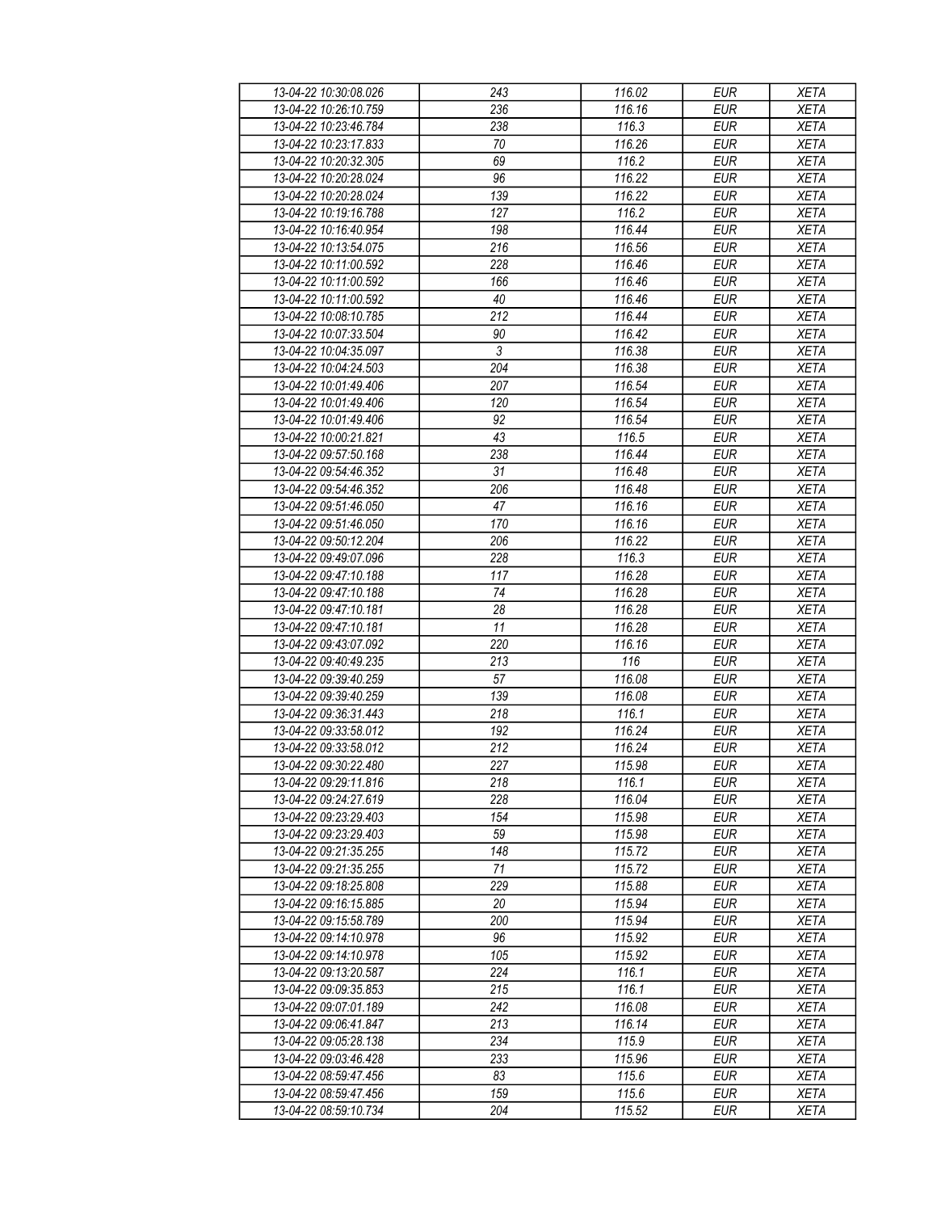| 13-04-22 10:30:08.026 | 243        | 116.02 | <b>EUR</b> | <b>XETA</b> |
|-----------------------|------------|--------|------------|-------------|
| 13-04-22 10:26:10.759 | 236        | 116.16 | <b>EUR</b> | <b>XETA</b> |
| 13-04-22 10:23:46.784 | 238        | 116.3  | <b>EUR</b> | <b>XETA</b> |
| 13-04-22 10:23:17.833 | 70         | 116.26 | <b>EUR</b> | <b>XETA</b> |
| 13-04-22 10:20:32.305 | 69         | 116.2  | <b>EUR</b> | <b>XETA</b> |
| 13-04-22 10:20:28.024 | 96         | 116.22 | <b>EUR</b> | <b>XETA</b> |
|                       |            | 116.22 | <b>EUR</b> |             |
| 13-04-22 10:20:28.024 | 139        |        |            | <b>XETA</b> |
| 13-04-22 10:19:16.788 | 127        | 116.2  | <b>EUR</b> | <b>XETA</b> |
| 13-04-22 10:16:40.954 | 198        | 116.44 | <b>EUR</b> | <b>XETA</b> |
| 13-04-22 10:13:54.075 | 216        | 116.56 | <b>EUR</b> | <b>XETA</b> |
| 13-04-22 10:11:00.592 | 228        | 116.46 | <b>EUR</b> | <b>XETA</b> |
| 13-04-22 10:11:00.592 | 166        | 116.46 | <b>EUR</b> | <b>XETA</b> |
| 13-04-22 10:11:00.592 | 40         | 116.46 | <b>EUR</b> | <b>XETA</b> |
| 13-04-22 10:08:10.785 | 212        | 116.44 | <b>EUR</b> | <b>XETA</b> |
| 13-04-22 10:07:33.504 | 90         | 116.42 | <b>EUR</b> | <b>XETA</b> |
| 13-04-22 10:04:35.097 | $\sqrt{3}$ | 116.38 | <b>EUR</b> | <b>XETA</b> |
| 13-04-22 10:04:24.503 | 204        | 116.38 | <b>EUR</b> | <b>XETA</b> |
| 13-04-22 10:01:49.406 | 207        | 116.54 | <b>EUR</b> | <b>XETA</b> |
| 13-04-22 10:01:49.406 | 120        | 116.54 | <b>EUR</b> | <b>XETA</b> |
| 13-04-22 10:01:49.406 | 92         | 116.54 | <b>EUR</b> | <b>XETA</b> |
| 13-04-22 10:00:21.821 | 43         | 116.5  | <b>EUR</b> | <b>XETA</b> |
| 13-04-22 09:57:50.168 | 238        | 116.44 | <b>EUR</b> | <b>XETA</b> |
| 13-04-22 09:54:46.352 | 31         | 116.48 | <b>EUR</b> | <b>XETA</b> |
| 13-04-22 09:54:46.352 | 206        | 116.48 | <b>EUR</b> | <b>XETA</b> |
|                       |            |        |            |             |
| 13-04-22 09:51:46.050 | 47         | 116.16 | <b>EUR</b> | <b>XETA</b> |
| 13-04-22 09:51:46.050 | 170        | 116.16 | <b>EUR</b> | <b>XETA</b> |
| 13-04-22 09:50:12.204 | 206        | 116.22 | <b>EUR</b> | <b>XETA</b> |
| 13-04-22 09:49:07.096 | 228        | 116.3  | <b>EUR</b> | <b>XETA</b> |
| 13-04-22 09:47:10.188 | 117        | 116.28 | <b>EUR</b> | <b>XETA</b> |
| 13-04-22 09:47:10.188 | 74         | 116.28 | <b>EUR</b> | <b>XETA</b> |
| 13-04-22 09:47:10.181 | 28         | 116.28 | <b>EUR</b> | <b>XETA</b> |
| 13-04-22 09:47:10.181 | 11         | 116.28 | <b>EUR</b> | <b>XETA</b> |
| 13-04-22 09:43:07.092 | 220        | 116.16 | <b>EUR</b> | <b>XETA</b> |
| 13-04-22 09:40:49.235 | 213        | 116    | <b>EUR</b> | <b>XETA</b> |
| 13-04-22 09:39:40.259 | 57         | 116.08 | <b>EUR</b> | <b>XETA</b> |
| 13-04-22 09:39:40.259 | 139        | 116.08 | <b>EUR</b> | <b>XETA</b> |
| 13-04-22 09:36:31.443 | 218        | 116.1  | <b>EUR</b> | <b>XETA</b> |
| 13-04-22 09:33:58.012 | 192        | 116.24 | <b>EUR</b> | <b>XETA</b> |
| 13-04-22 09:33:58.012 | 212        | 116.24 | <b>EUR</b> | <b>XETA</b> |
| 13-04-22 09:30:22.480 | 227        | 115.98 | <b>EUR</b> | <b>XETA</b> |
| 13-04-22 09:29:11.816 | 218        | 116.1  | EUR        | XETA        |
| 13-04-22 09:24:27.619 | 228        | 116.04 | <b>EUR</b> |             |
|                       | 154        |        | <b>EUR</b> | <b>XETA</b> |
| 13-04-22 09:23:29.403 | 59         | 115.98 |            | <b>XETA</b> |
| 13-04-22 09:23:29.403 |            | 115.98 | <b>EUR</b> | <b>XETA</b> |
| 13-04-22 09:21:35.255 | 148        | 115.72 | <b>EUR</b> | <b>XETA</b> |
| 13-04-22 09:21:35.255 | 71         | 115.72 | <b>EUR</b> | <b>XETA</b> |
| 13-04-22 09:18:25.808 | 229        | 115.88 | <b>EUR</b> | <b>XETA</b> |
| 13-04-22 09:16:15.885 | 20         | 115.94 | <b>EUR</b> | <b>XETA</b> |
| 13-04-22 09:15:58.789 | 200        | 115.94 | <b>EUR</b> | <b>XETA</b> |
| 13-04-22 09:14:10.978 | 96         | 115.92 | EUR        | <b>XETA</b> |
| 13-04-22 09:14:10.978 | 105        | 115.92 | <b>EUR</b> | <b>XETA</b> |
| 13-04-22 09:13:20.587 | 224        | 116.1  | <b>EUR</b> | <b>XETA</b> |
| 13-04-22 09:09:35.853 | 215        | 116.1  | <b>EUR</b> | <b>XETA</b> |
| 13-04-22 09:07:01.189 | 242        | 116.08 | <b>EUR</b> | <b>XETA</b> |
| 13-04-22 09:06:41.847 | 213        | 116.14 | <b>EUR</b> | <b>XETA</b> |
| 13-04-22 09:05:28.138 | 234        | 115.9  | <b>EUR</b> | <b>XETA</b> |
| 13-04-22 09:03:46.428 | 233        | 115.96 | <b>EUR</b> | <b>XETA</b> |
| 13-04-22 08:59:47.456 | 83         | 115.6  | EUR        | XETA        |
| 13-04-22 08:59:47.456 | 159        | 115.6  | EUR        | <b>XETA</b> |
|                       | 204        |        |            |             |
| 13-04-22 08:59:10.734 |            | 115.52 | EUR        | <b>XETA</b> |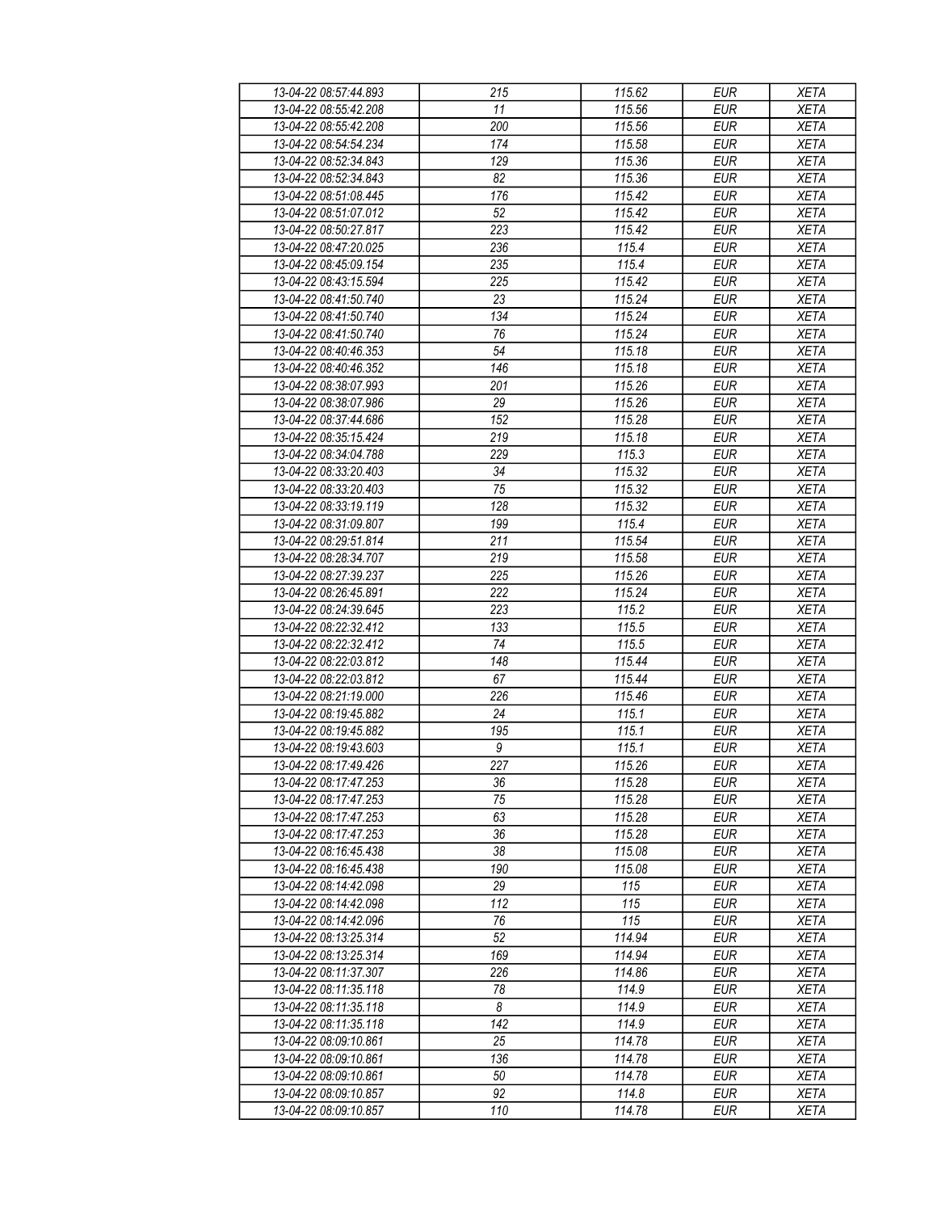| 13-04-22 08:57:44.893 | 215             | 115.62 | <b>EUR</b> | <b>XETA</b> |
|-----------------------|-----------------|--------|------------|-------------|
| 13-04-22 08:55:42.208 | 11              | 115.56 | <b>EUR</b> | <b>XETA</b> |
| 13-04-22 08:55:42.208 | 200             | 115.56 | <b>EUR</b> | <b>XETA</b> |
| 13-04-22 08:54:54.234 | 174             | 115.58 | <b>EUR</b> | <b>XETA</b> |
| 13-04-22 08:52:34.843 | 129             | 115.36 | <b>EUR</b> | <b>XETA</b> |
| 13-04-22 08:52:34.843 | 82              | 115.36 | <b>EUR</b> | <b>XETA</b> |
| 13-04-22 08:51:08.445 |                 | 115.42 | <b>EUR</b> |             |
|                       | 176             |        |            | <b>XETA</b> |
| 13-04-22 08:51:07.012 | 52              | 115.42 | <b>EUR</b> | <b>XETA</b> |
| 13-04-22 08:50:27.817 | 223             | 115.42 | <b>EUR</b> | <b>XETA</b> |
| 13-04-22 08:47:20.025 | 236             | 115.4  | <b>EUR</b> | <b>XETA</b> |
| 13-04-22 08:45:09.154 | 235             | 115.4  | <b>EUR</b> | <b>XETA</b> |
| 13-04-22 08:43:15.594 | 225             | 115.42 | <b>EUR</b> | <b>XETA</b> |
| 13-04-22 08:41:50.740 | 23              | 115.24 | <b>EUR</b> | <b>XETA</b> |
| 13-04-22 08:41:50.740 | 134             | 115.24 | <b>EUR</b> | <b>XETA</b> |
| 13-04-22 08:41:50.740 | 76              | 115.24 | <b>EUR</b> | <b>XETA</b> |
| 13-04-22 08:40:46.353 | 54              | 115.18 | <b>EUR</b> | <b>XETA</b> |
| 13-04-22 08:40:46.352 | 146             | 115.18 | <b>EUR</b> | <b>XETA</b> |
| 13-04-22 08:38:07.993 | 201             | 115.26 | <b>EUR</b> | <b>XETA</b> |
| 13-04-22 08:38:07.986 | $\overline{29}$ | 115.26 | <b>EUR</b> | <b>XETA</b> |
| 13-04-22 08:37:44.686 | 152             | 115.28 | <b>EUR</b> | <b>XETA</b> |
| 13-04-22 08:35:15.424 | 219             | 115.18 | <b>EUR</b> | <b>XETA</b> |
| 13-04-22 08:34:04.788 | 229             | 115.3  | <b>EUR</b> | <b>XETA</b> |
| 13-04-22 08:33:20.403 | 34              | 115.32 | <b>EUR</b> | <b>XETA</b> |
| 13-04-22 08:33:20.403 | 75              | 115.32 | <b>EUR</b> | <b>XETA</b> |
|                       |                 |        |            |             |
| 13-04-22 08:33:19.119 | 128             | 115.32 | <b>EUR</b> | <b>XETA</b> |
| 13-04-22 08:31:09.807 | 199             | 115.4  | <b>EUR</b> | <b>XETA</b> |
| 13-04-22 08:29:51.814 | 211             | 115.54 | <b>EUR</b> | <b>XETA</b> |
| 13-04-22 08:28:34.707 | 219             | 115.58 | <b>EUR</b> | <b>XETA</b> |
| 13-04-22 08:27:39.237 | 225             | 115.26 | <b>EUR</b> | <b>XETA</b> |
| 13-04-22 08:26:45.891 | 222             | 115.24 | <b>EUR</b> | <b>XETA</b> |
| 13-04-22 08:24:39.645 | 223             | 115.2  | <b>EUR</b> | <b>XETA</b> |
| 13-04-22 08:22:32.412 | 133             | 115.5  | <b>EUR</b> | <b>XETA</b> |
| 13-04-22 08:22:32.412 | 74              | 115.5  | <b>EUR</b> | <b>XETA</b> |
| 13-04-22 08:22:03.812 | 148             | 115.44 | <b>EUR</b> | <b>XETA</b> |
| 13-04-22 08:22:03.812 | 67              | 115.44 | <b>EUR</b> | <b>XETA</b> |
| 13-04-22 08:21:19.000 | 226             | 115.46 | <b>EUR</b> | <b>XETA</b> |
| 13-04-22 08:19:45.882 | 24              | 115.1  | <b>EUR</b> | <b>XETA</b> |
| 13-04-22 08:19:45.882 | 195             | 115.1  | <b>EUR</b> | <b>XETA</b> |
| 13-04-22 08:19:43.603 | 9               | 115.1  | <b>EUR</b> | <b>XETA</b> |
| 13-04-22 08:17:49.426 | 227             | 115.26 | <b>EUR</b> | <b>XETA</b> |
| 13-04-22 08:17:47.253 | 36              | 115.28 | EUR        | XETA        |
| 13-04-22 08:17:47.253 | 75              | 115.28 | <b>EUR</b> | <b>XETA</b> |
| 13-04-22 08:17:47.253 | 63              | 115.28 | <b>EUR</b> | <b>XETA</b> |
| 13-04-22 08:17:47.253 | 36              | 115.28 | <b>EUR</b> | <b>XETA</b> |
| 13-04-22 08:16:45.438 | 38              | 115.08 | <b>EUR</b> |             |
|                       |                 |        |            | <b>XETA</b> |
| 13-04-22 08:16:45.438 | 190             | 115.08 | <b>EUR</b> | <b>XETA</b> |
| 13-04-22 08:14:42.098 | 29              | 115    | <b>EUR</b> | <b>XETA</b> |
| 13-04-22 08:14:42.098 | 112             | 115    | <b>EUR</b> | <b>XETA</b> |
| 13-04-22 08:14:42.096 | 76              | 115    | <b>EUR</b> | <b>XETA</b> |
| 13-04-22 08:13:25.314 | 52              | 114.94 | EUR        | <b>XETA</b> |
| 13-04-22 08:13:25.314 | 169             | 114.94 | <b>EUR</b> | <b>XETA</b> |
| 13-04-22 08:11:37.307 | 226             | 114.86 | <b>EUR</b> | <b>XETA</b> |
| 13-04-22 08:11:35.118 | 78              | 114.9  | <b>EUR</b> | <b>XETA</b> |
| 13-04-22 08:11:35.118 | 8               | 114.9  | <b>EUR</b> | <b>XETA</b> |
| 13-04-22 08:11:35.118 | 142             | 114.9  | <b>EUR</b> | <b>XETA</b> |
| 13-04-22 08:09:10.861 | 25              | 114.78 | <b>EUR</b> | <b>XETA</b> |
| 13-04-22 08:09:10.861 | 136             | 114.78 | <b>EUR</b> | <b>XETA</b> |
| 13-04-22 08:09:10.861 | 50              | 114.78 | EUR        | XETA        |
| 13-04-22 08:09:10.857 | 92              | 114.8  | EUR        | <b>XETA</b> |
| 13-04-22 08:09:10.857 | 110             | 114.78 | EUR        | <b>XETA</b> |
|                       |                 |        |            |             |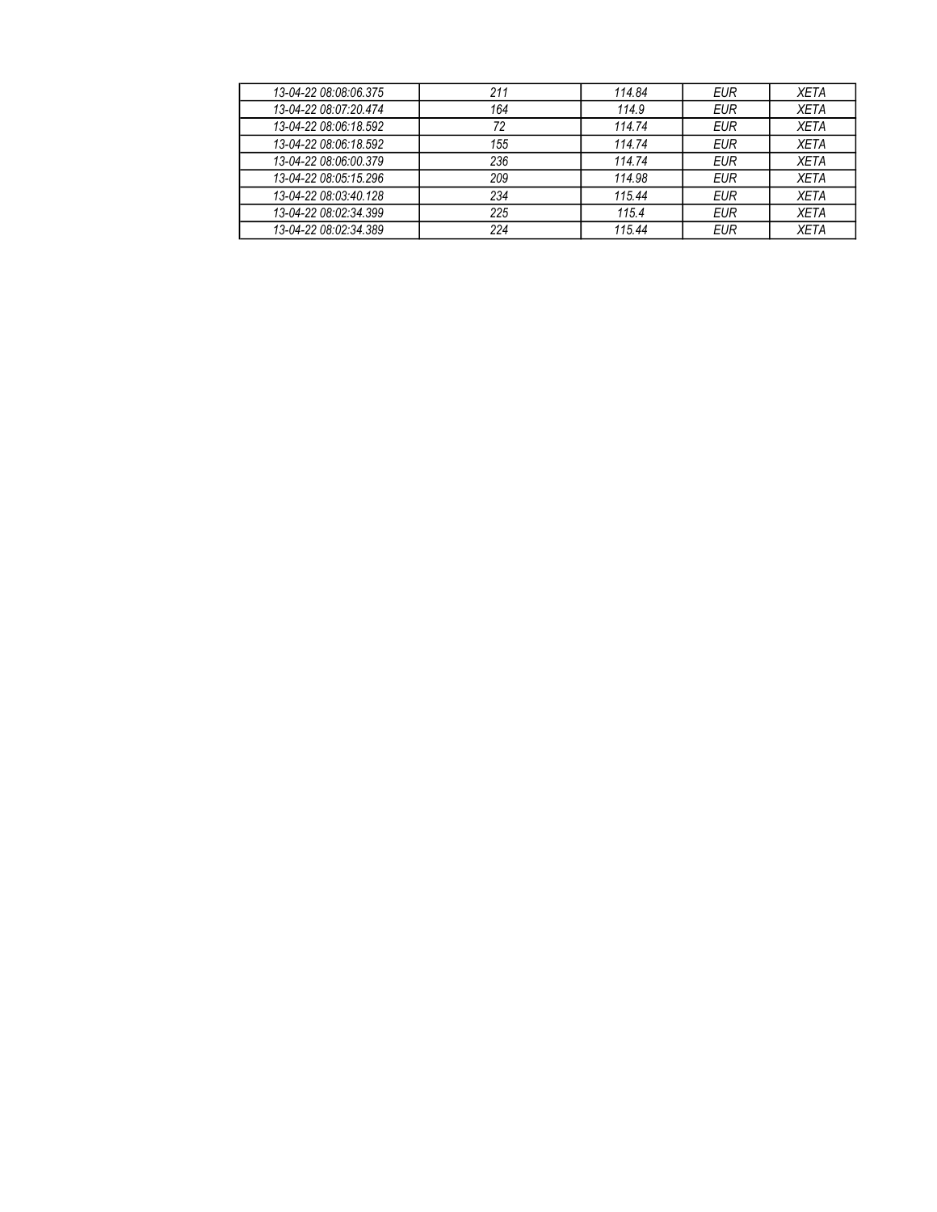| 13-04-22 08:08:06.375 | 211 | 114.84 | <b>EUR</b> | <b>XETA</b> |
|-----------------------|-----|--------|------------|-------------|
| 13-04-22 08:07:20.474 | 164 | 114.9  | EUR        | <b>XETA</b> |
| 13-04-22 08:06:18.592 | 72  | 114.74 | <b>EUR</b> | <b>XETA</b> |
| 13-04-22 08:06:18.592 | 155 | 114.74 | <b>EUR</b> | <b>XETA</b> |
| 13-04-22 08:06:00.379 | 236 | 114.74 | <b>EUR</b> | <b>XETA</b> |
| 13-04-22 08:05:15.296 | 209 | 114.98 | <b>EUR</b> | <b>XETA</b> |
| 13-04-22 08:03:40.128 | 234 | 115.44 | <b>EUR</b> | <b>XETA</b> |
| 13-04-22 08:02:34.399 | 225 | 115.4  | <b>EUR</b> | <b>XETA</b> |
| 13-04-22 08:02:34.389 | 224 | 115.44 | <b>EUR</b> | <b>XETA</b> |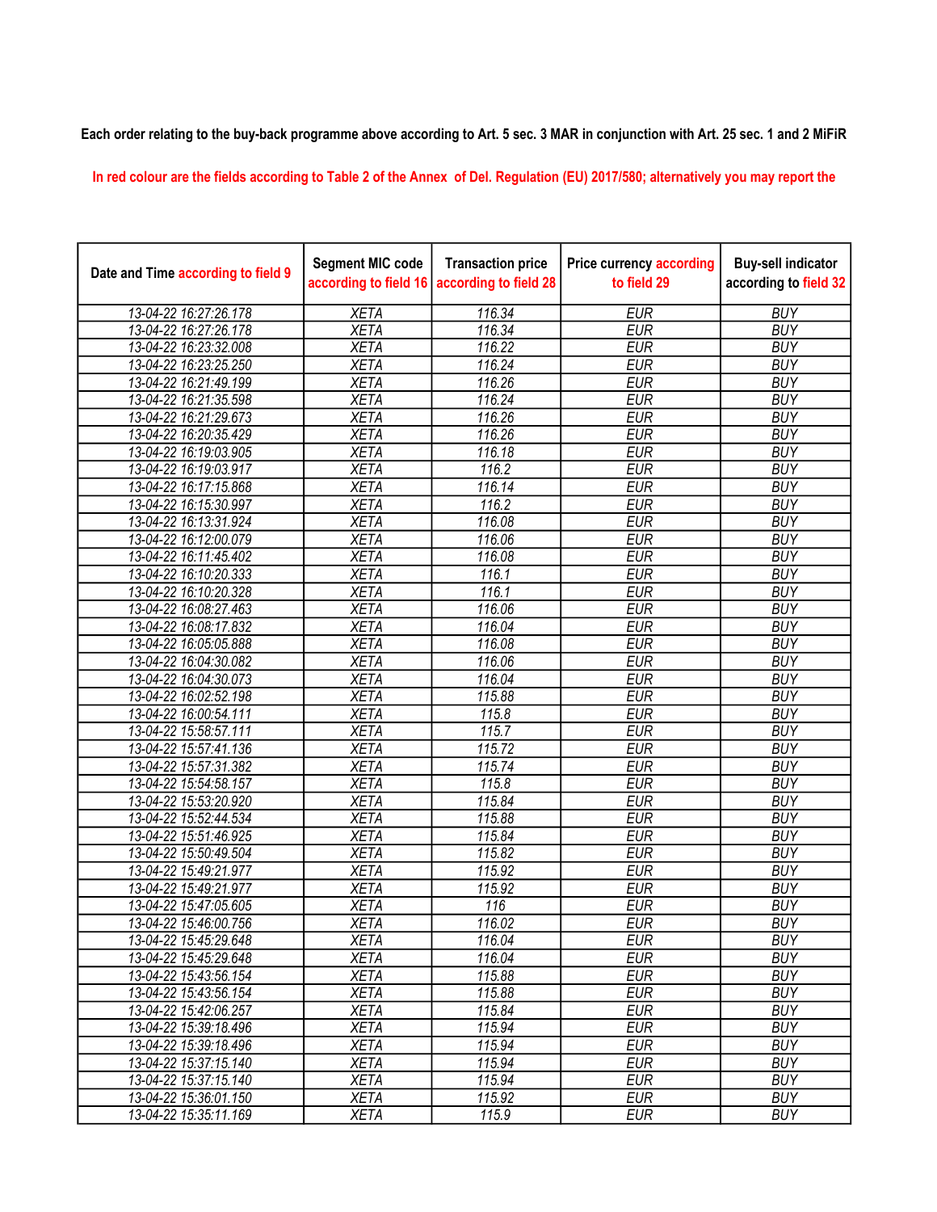## Each order relating to the buy-back programme above according to Art. 5 sec. 3 MAR in conjunction with Art. 25 sec. 1 and 2 MiFiR

## In red colour are the fields according to Table 2 of the Annex of Del. Regulation (EU) 2017/580; alternatively you may report the

| Date and Time according to field 9 | <b>Segment MIC code</b><br>according to field 16 | <b>Transaction price</b><br>according to field 28 | <b>Price currency according</b><br>to field 29 | <b>Buy-sell indicator</b><br>according to field 32 |
|------------------------------------|--------------------------------------------------|---------------------------------------------------|------------------------------------------------|----------------------------------------------------|
| 13-04-22 16:27:26.178              | <b>XETA</b>                                      | 116.34                                            | <b>EUR</b>                                     | <b>BUY</b>                                         |
| 13-04-22 16:27:26.178              | <b>XETA</b>                                      | 116.34                                            | <b>EUR</b>                                     | <b>BUY</b>                                         |
| 13-04-22 16:23:32.008              | <b>XETA</b>                                      | 116.22                                            | <b>EUR</b>                                     | <b>BUY</b>                                         |
| 13-04-22 16:23:25.250              | <b>XETA</b>                                      | 116.24                                            | <b>EUR</b>                                     | <b>BUY</b>                                         |
| 13-04-22 16:21:49.199              | <b>XETA</b>                                      | 116.26                                            | <b>EUR</b>                                     | <b>BUY</b>                                         |
| 13-04-22 16:21:35.598              | <b>XETA</b>                                      | 116.24                                            | <b>EUR</b>                                     | <b>BUY</b>                                         |
| 13-04-22 16:21:29.673              | <b>XETA</b>                                      | 116.26                                            | <b>EUR</b>                                     | <b>BUY</b>                                         |
| 13-04-22 16:20:35.429              | <b>XETA</b>                                      | 116.26                                            | <b>EUR</b>                                     | <b>BUY</b>                                         |
| 13-04-22 16:19:03.905              | <b>XETA</b>                                      | 116.18                                            | <b>EUR</b>                                     | <b>BUY</b>                                         |
| 13-04-22 16:19:03.917              | <b>XETA</b>                                      | 116.2                                             | <b>EUR</b>                                     | <b>BUY</b>                                         |
| 13-04-22 16:17:15.868              | <b>XETA</b>                                      | 116.14                                            | <b>EUR</b>                                     | <b>BUY</b>                                         |
| 13-04-22 16:15:30.997              | <b>XETA</b>                                      | 116.2                                             | <b>EUR</b>                                     | <b>BUY</b>                                         |
| 13-04-22 16:13:31.924              | <b>XETA</b>                                      | 116.08                                            | <b>EUR</b>                                     | <b>BUY</b>                                         |
| 13-04-22 16:12:00.079              | <b>XETA</b>                                      | 116.06                                            | <b>EUR</b>                                     | <b>BUY</b>                                         |
| 13-04-22 16:11:45.402              | <b>XETA</b>                                      | 116.08                                            | <b>EUR</b>                                     | <b>BUY</b>                                         |
| 13-04-22 16:10:20.333              | <b>XETA</b>                                      | 116.1                                             | <b>EUR</b>                                     | <b>BUY</b>                                         |
| 13-04-22 16:10:20.328              | <b>XETA</b>                                      | 116.1                                             | <b>EUR</b>                                     | <b>BUY</b>                                         |
| 13-04-22 16:08:27.463              | <b>XETA</b>                                      | 116.06                                            | <b>EUR</b>                                     | <b>BUY</b>                                         |
| 13-04-22 16:08:17.832              | <b>XETA</b>                                      | 116.04                                            | <b>EUR</b>                                     | <b>BUY</b>                                         |
| 13-04-22 16:05:05.888              | <b>XETA</b>                                      | 116.08                                            | <b>EUR</b>                                     | <b>BUY</b>                                         |
| 13-04-22 16:04:30.082              | <b>XETA</b>                                      | 116.06                                            | <b>EUR</b>                                     | <b>BUY</b>                                         |
| 13-04-22 16:04:30.073              | <b>XETA</b>                                      | 116.04                                            | <b>EUR</b>                                     | <b>BUY</b>                                         |
| 13-04-22 16:02:52.198              | <b>XETA</b>                                      | 115.88                                            | <b>EUR</b>                                     | <b>BUY</b>                                         |
| 13-04-22 16:00:54.111              | <b>XETA</b>                                      | 115.8                                             | <b>EUR</b>                                     | <b>BUY</b>                                         |
| 13-04-22 15:58:57.111              | <b>XETA</b>                                      | 115.7                                             | <b>EUR</b>                                     | <b>BUY</b>                                         |
| 13-04-22 15:57:41.136              | <b>XETA</b>                                      | 115.72                                            | <b>EUR</b>                                     | <b>BUY</b>                                         |
| 13-04-22 15:57:31.382              | <b>XETA</b>                                      | 115.74                                            | <b>EUR</b>                                     | <b>BUY</b>                                         |
| 13-04-22 15:54:58.157              | <b>XETA</b>                                      | 115.8                                             | <b>EUR</b>                                     | <b>BUY</b>                                         |
| 13-04-22 15:53:20.920              | <b>XETA</b>                                      | 115.84                                            | <b>EUR</b>                                     | <b>BUY</b>                                         |
| 13-04-22 15:52:44.534              | <b>XETA</b>                                      | 115.88                                            | <b>EUR</b>                                     | <b>BUY</b>                                         |
| 13-04-22 15:51:46.925              | <b>XETA</b>                                      | 115.84                                            | <b>EUR</b>                                     | <b>BUY</b>                                         |
| 13-04-22 15:50:49.504              | <b>XETA</b>                                      | 115.82                                            | <b>EUR</b>                                     | <b>BUY</b>                                         |
| 13-04-22 15:49:21.977              | <b>XETA</b>                                      | 115.92                                            | <b>EUR</b>                                     | <b>BUY</b>                                         |
| 13-04-22 15:49:21.977              | <b>XETA</b>                                      | 115.92                                            | <b>EUR</b>                                     | <b>BUY</b>                                         |
| 13-04-22 15:47:05.605              | <b>XETA</b>                                      | 116                                               | <b>EUR</b>                                     | <b>BUY</b>                                         |
| 13-04-22 15:46:00.756              | <b>XETA</b>                                      | 116.02                                            | <b>EUR</b>                                     | <b>BUY</b>                                         |
| 13-04-22 15:45:29.648              | <b>XETA</b>                                      | 116.04                                            | <b>EUR</b>                                     | <b>BUY</b>                                         |
| 13-04-22 15:45:29.648              | <b>XETA</b>                                      | 116.04                                            | <b>EUR</b>                                     | <b>BUY</b>                                         |
| 13-04-22 15:43:56.154              | <b>XETA</b>                                      | 115.88                                            | <b>EUR</b>                                     | <b>BUY</b>                                         |
| 13-04-22 15:43:56.154              | <b>XETA</b>                                      | 115.88                                            | <b>EUR</b>                                     | <b>BUY</b>                                         |
| 13-04-22 15:42:06.257              | <b>XETA</b>                                      | 115.84                                            | <b>EUR</b>                                     | <b>BUY</b>                                         |
| 13-04-22 15:39:18.496              | <b>XETA</b>                                      | 115.94                                            | <b>EUR</b>                                     | <b>BUY</b>                                         |
| 13-04-22 15:39:18.496              | <b>XETA</b>                                      | 115.94                                            | <b>EUR</b>                                     | <b>BUY</b>                                         |
| 13-04-22 15:37:15.140              | <b>XETA</b>                                      | 115.94                                            | <b>EUR</b>                                     | <b>BUY</b>                                         |
| 13-04-22 15:37:15.140              | <b>XETA</b>                                      | 115.94                                            | <b>EUR</b>                                     | <b>BUY</b>                                         |
| 13-04-22 15:36:01.150              | <b>XETA</b>                                      | 115.92                                            | <b>EUR</b>                                     | <b>BUY</b>                                         |
| 13-04-22 15:35:11.169              | <b>XETA</b>                                      | 115.9                                             | <b>EUR</b>                                     | <b>BUY</b>                                         |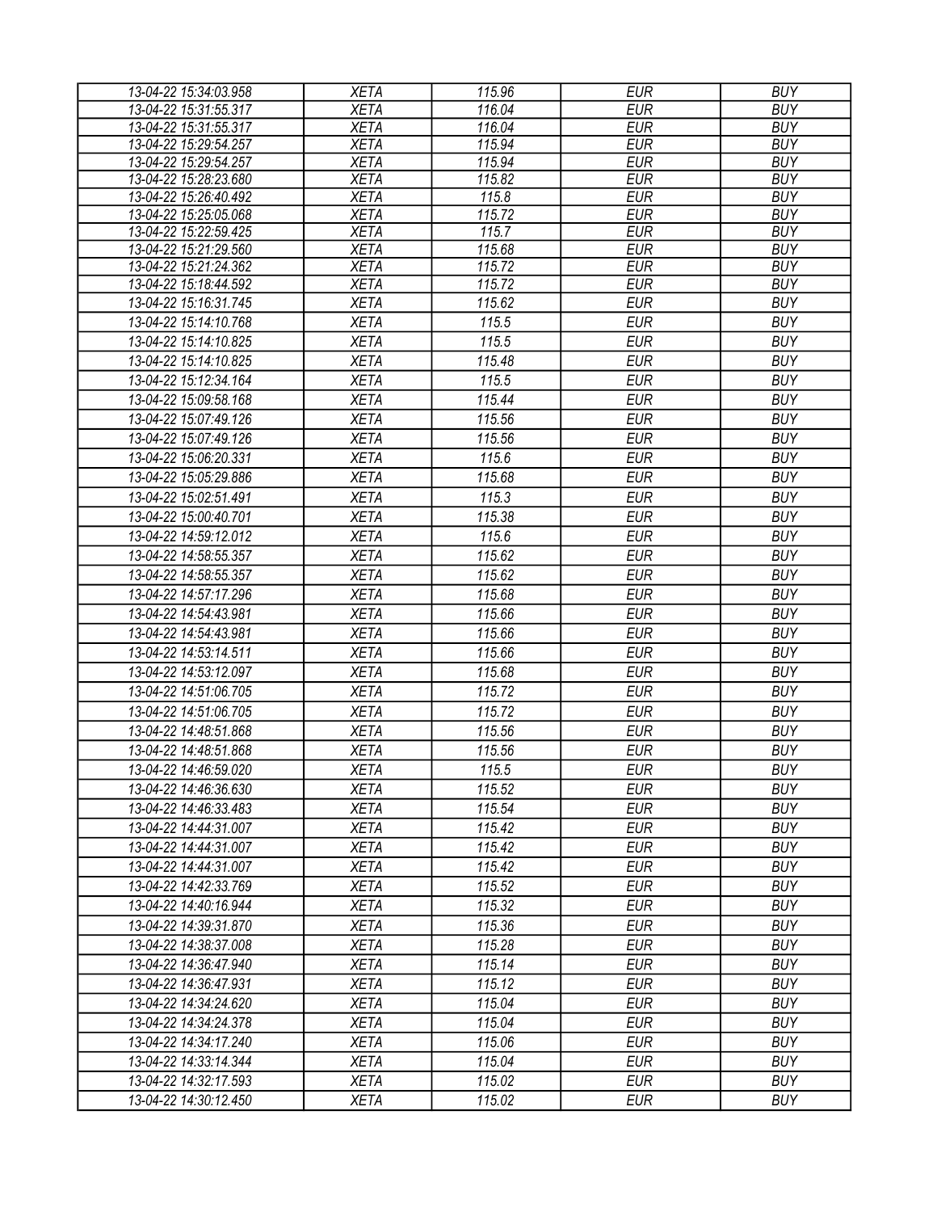| 13-04-22 15:34:03.958 | <b>XETA</b> | 115.96 | <b>EUR</b> | <b>BUY</b> |
|-----------------------|-------------|--------|------------|------------|
| 13-04-22 15:31:55.317 | <b>XETA</b> | 116.04 | <b>EUR</b> | <b>BUY</b> |
| 13-04-22 15:31:55.317 | <b>XETA</b> | 116.04 | <b>EUR</b> | <b>BUY</b> |
| 13-04-22 15:29:54.257 | <b>XETA</b> | 115.94 | <b>EUR</b> | <b>BUY</b> |
| 13-04-22 15:29:54.257 | <b>XETA</b> | 115.94 | <b>EUR</b> | <b>BUY</b> |
| 13-04-22 15:28:23.680 | <b>XETA</b> | 115.82 | <b>EUR</b> | <b>BUY</b> |
| 13-04-22 15:26:40.492 | <b>XETA</b> | 115.8  | <b>EUR</b> | <b>BUY</b> |
| 13-04-22 15:25:05.068 | <b>XETA</b> | 115.72 | <b>EUR</b> | <b>BUY</b> |
| 13-04-22 15:22:59.425 | <b>XETA</b> | 115.7  | <b>EUR</b> | <b>BUY</b> |
| 13-04-22 15:21:29.560 | <b>XETA</b> | 115.68 | <b>EUR</b> | <b>BUY</b> |
| 13-04-22 15:21:24.362 | <b>XETA</b> | 115.72 | <b>EUR</b> | <b>BUY</b> |
| 13-04-22 15:18:44.592 | <b>XETA</b> | 115.72 | <b>EUR</b> | <b>BUY</b> |
| 13-04-22 15:16:31.745 | <b>XETA</b> | 115.62 | <b>EUR</b> | <b>BUY</b> |
| 13-04-22 15:14:10.768 | <b>XETA</b> | 115.5  | <b>EUR</b> | <b>BUY</b> |
| 13-04-22 15:14:10.825 | <b>XETA</b> | 115.5  | <b>EUR</b> | <b>BUY</b> |
| 13-04-22 15:14:10.825 | <b>XETA</b> | 115.48 | <b>EUR</b> | <b>BUY</b> |
| 13-04-22 15:12:34.164 | <b>XETA</b> | 115.5  | <b>EUR</b> | <b>BUY</b> |
| 13-04-22 15:09:58.168 | <b>XETA</b> | 115.44 | <b>EUR</b> | <b>BUY</b> |
| 13-04-22 15:07:49.126 | <b>XETA</b> | 115.56 | <b>EUR</b> | <b>BUY</b> |
| 13-04-22 15:07:49.126 | <b>XETA</b> | 115.56 | <b>EUR</b> | <b>BUY</b> |
| 13-04-22 15:06:20.331 | <b>XETA</b> | 115.6  | <b>EUR</b> | <b>BUY</b> |
| 13-04-22 15:05:29.886 | <b>XETA</b> | 115.68 | <b>EUR</b> | <b>BUY</b> |
| 13-04-22 15:02:51.491 | <b>XETA</b> | 115.3  | <b>EUR</b> | <b>BUY</b> |
| 13-04-22 15:00:40.701 | <b>XETA</b> | 115.38 | <b>EUR</b> | <b>BUY</b> |
| 13-04-22 14:59:12.012 | <b>XETA</b> | 115.6  | <b>EUR</b> | <b>BUY</b> |
|                       |             |        |            |            |
| 13-04-22 14:58:55.357 | <b>XETA</b> | 115.62 | <b>EUR</b> | <b>BUY</b> |
| 13-04-22 14:58:55.357 | <b>XETA</b> | 115.62 | <b>EUR</b> | <b>BUY</b> |
| 13-04-22 14:57:17.296 | <b>XETA</b> | 115.68 | <b>EUR</b> | <b>BUY</b> |
| 13-04-22 14:54:43.981 | <b>XETA</b> | 115.66 | <b>EUR</b> | <b>BUY</b> |
| 13-04-22 14:54:43.981 | <b>XETA</b> | 115.66 | <b>EUR</b> | <b>BUY</b> |
| 13-04-22 14:53:14.511 | <b>XETA</b> | 115.66 | <b>EUR</b> | <b>BUY</b> |
| 13-04-22 14:53:12.097 | <b>XETA</b> | 115.68 | <b>EUR</b> | <b>BUY</b> |
| 13-04-22 14:51:06.705 | <b>XETA</b> | 115.72 | <b>EUR</b> | <b>BUY</b> |
| 13-04-22 14:51:06.705 | <b>XETA</b> | 115.72 | <b>EUR</b> | <b>BUY</b> |
| 13-04-22 14:48:51.868 | <b>XETA</b> | 115.56 | <b>EUR</b> | <b>BUY</b> |
| 13-04-22 14:48:51.868 | <b>XETA</b> | 115.56 | <b>EUR</b> | <b>BUY</b> |
| 13-04-22 14:46:59.020 | <b>XETA</b> | 115.5  | <b>EUR</b> | <b>BUY</b> |
| 13-04-22 14:46:36.630 | <b>XETA</b> | 115.52 | EUR        | <b>BUY</b> |
| 13-04-22 14:46:33.483 | <b>XETA</b> | 115.54 | <b>EUR</b> | <b>BUY</b> |
| 13-04-22 14:44:31.007 | <b>XETA</b> | 115.42 | EUR        | <b>BUY</b> |
| 13-04-22 14:44:31.007 | <b>XETA</b> | 115.42 | <b>EUR</b> | <b>BUY</b> |
|                       | <b>XETA</b> |        | <b>EUR</b> | <b>BUY</b> |
| 13-04-22 14:44:31.007 |             | 115.42 |            |            |
| 13-04-22 14:42:33.769 | <b>XETA</b> | 115.52 | <b>EUR</b> | <b>BUY</b> |
| 13-04-22 14:40:16.944 | <b>XETA</b> | 115.32 | <b>EUR</b> | <b>BUY</b> |
| 13-04-22 14:39:31.870 | <b>XETA</b> | 115.36 | <b>EUR</b> | <b>BUY</b> |
| 13-04-22 14:38:37.008 | <b>XETA</b> | 115.28 | <b>EUR</b> | <b>BUY</b> |
| 13-04-22 14:36:47.940 | <b>XETA</b> | 115.14 | <b>EUR</b> | <b>BUY</b> |
| 13-04-22 14:36:47.931 | <b>XETA</b> | 115.12 | <b>EUR</b> | <b>BUY</b> |
| 13-04-22 14:34:24.620 | <b>XETA</b> | 115.04 | <b>EUR</b> | <b>BUY</b> |
| 13-04-22 14:34:24.378 | <b>XETA</b> | 115.04 | <b>EUR</b> | <b>BUY</b> |
| 13-04-22 14:34:17.240 | <b>XETA</b> | 115.06 | <b>EUR</b> | <b>BUY</b> |
| 13-04-22 14:33:14.344 | <b>XETA</b> | 115.04 | <b>EUR</b> | <b>BUY</b> |
| 13-04-22 14:32:17.593 | <b>XETA</b> | 115.02 | <b>EUR</b> | <b>BUY</b> |
| 13-04-22 14:30:12.450 | <b>XETA</b> | 115.02 | <b>EUR</b> | <b>BUY</b> |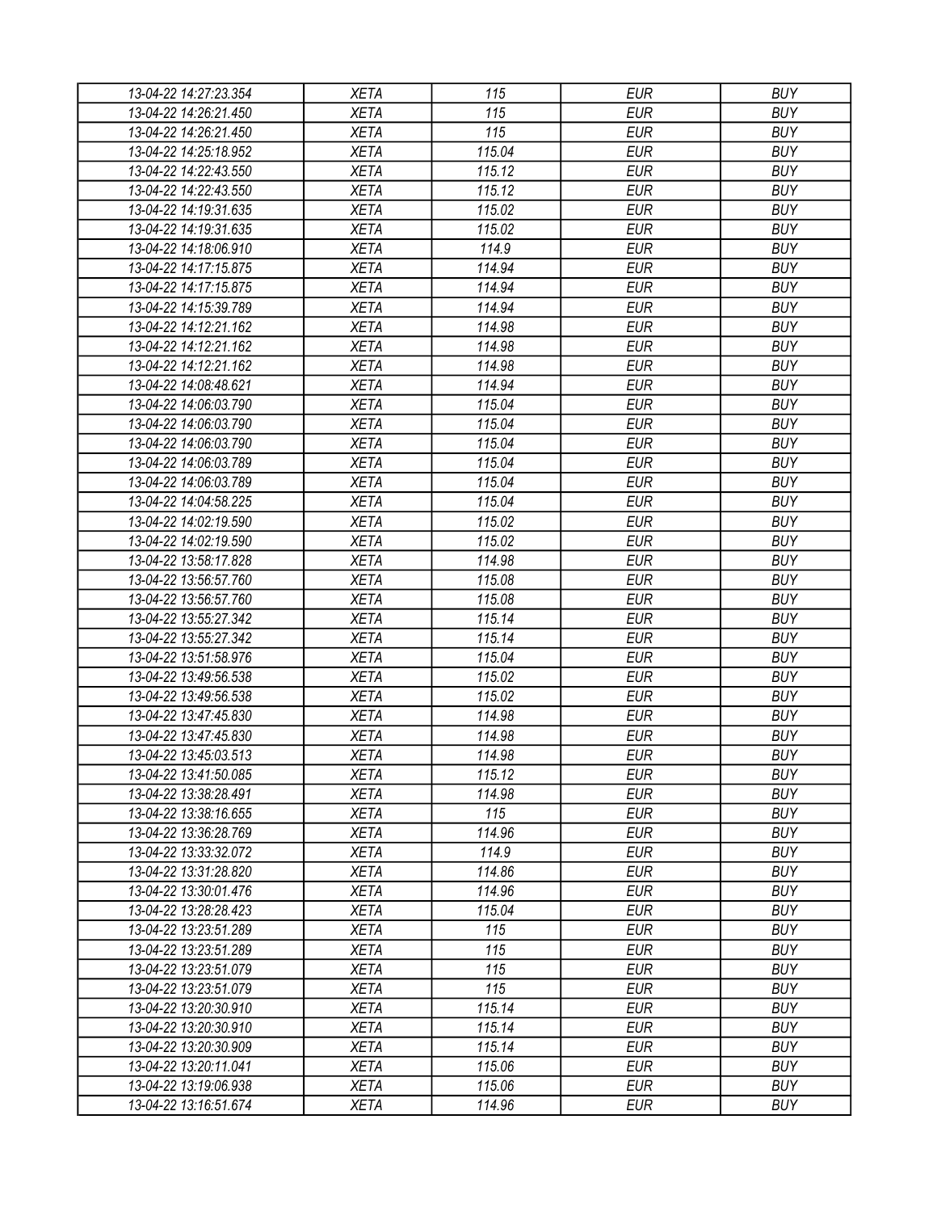| 13-04-22 14:27:23.354 | <b>XETA</b> | 115    | <b>EUR</b> | <b>BUY</b> |
|-----------------------|-------------|--------|------------|------------|
| 13-04-22 14:26:21.450 | <b>XETA</b> | 115    | <b>EUR</b> | <b>BUY</b> |
| 13-04-22 14:26:21.450 | <b>XETA</b> | 115    | <b>EUR</b> | <b>BUY</b> |
| 13-04-22 14:25:18.952 | <b>XETA</b> | 115.04 | <b>EUR</b> | <b>BUY</b> |
| 13-04-22 14:22:43.550 | <b>XETA</b> | 115.12 | <b>EUR</b> | <b>BUY</b> |
| 13-04-22 14:22:43.550 | <b>XETA</b> | 115.12 | <b>EUR</b> | <b>BUY</b> |
| 13-04-22 14:19:31.635 | <b>XETA</b> | 115.02 | <b>EUR</b> | <b>BUY</b> |
| 13-04-22 14:19:31.635 | <b>XETA</b> | 115.02 | <b>EUR</b> | <b>BUY</b> |
| 13-04-22 14:18:06.910 | <b>XETA</b> | 114.9  | <b>EUR</b> | <b>BUY</b> |
| 13-04-22 14:17:15.875 | <b>XETA</b> | 114.94 | <b>EUR</b> | <b>BUY</b> |
| 13-04-22 14:17:15.875 | <b>XETA</b> | 114.94 | <b>EUR</b> | <b>BUY</b> |
| 13-04-22 14:15:39.789 | <b>XETA</b> | 114.94 | <b>EUR</b> | <b>BUY</b> |
| 13-04-22 14:12:21.162 | <b>XETA</b> | 114.98 | <b>EUR</b> | <b>BUY</b> |
| 13-04-22 14:12:21.162 | <b>XETA</b> | 114.98 | <b>EUR</b> | <b>BUY</b> |
| 13-04-22 14:12:21.162 | <b>XETA</b> | 114.98 | <b>EUR</b> | <b>BUY</b> |
| 13-04-22 14:08:48.621 | <b>XETA</b> | 114.94 | <b>EUR</b> | <b>BUY</b> |
| 13-04-22 14:06:03.790 | <b>XETA</b> | 115.04 | <b>EUR</b> | <b>BUY</b> |
| 13-04-22 14:06:03.790 | <b>XETA</b> | 115.04 | <b>EUR</b> | <b>BUY</b> |
| 13-04-22 14:06:03.790 | <b>XETA</b> | 115.04 | <b>EUR</b> | <b>BUY</b> |
| 13-04-22 14:06:03.789 | <b>XETA</b> | 115.04 | <b>EUR</b> | <b>BUY</b> |
| 13-04-22 14:06:03.789 | <b>XETA</b> | 115.04 | <b>EUR</b> | <b>BUY</b> |
| 13-04-22 14:04:58.225 | <b>XETA</b> | 115.04 | <b>EUR</b> | <b>BUY</b> |
| 13-04-22 14:02:19.590 | <b>XETA</b> | 115.02 | <b>EUR</b> | <b>BUY</b> |
| 13-04-22 14:02:19.590 | <b>XETA</b> | 115.02 | <b>EUR</b> | <b>BUY</b> |
| 13-04-22 13:58:17.828 | <b>XETA</b> | 114.98 | <b>EUR</b> | <b>BUY</b> |
| 13-04-22 13:56:57.760 | <b>XETA</b> | 115.08 | <b>EUR</b> | <b>BUY</b> |
| 13-04-22 13:56:57.760 | <b>XETA</b> | 115.08 | <b>EUR</b> | <b>BUY</b> |
| 13-04-22 13:55:27.342 | <b>XETA</b> | 115.14 | <b>EUR</b> | <b>BUY</b> |
| 13-04-22 13:55:27.342 | <b>XETA</b> | 115.14 | <b>EUR</b> | <b>BUY</b> |
| 13-04-22 13:51:58.976 | <b>XETA</b> | 115.04 | <b>EUR</b> | <b>BUY</b> |
| 13-04-22 13:49:56.538 | <b>XETA</b> | 115.02 | <b>EUR</b> | <b>BUY</b> |
| 13-04-22 13:49:56.538 | <b>XETA</b> | 115.02 | <b>EUR</b> | <b>BUY</b> |
| 13-04-22 13:47:45.830 | <b>XETA</b> | 114.98 | <b>EUR</b> | <b>BUY</b> |
| 13-04-22 13:47:45.830 | <b>XETA</b> | 114.98 | <b>EUR</b> | <b>BUY</b> |
|                       |             |        | <b>EUR</b> | <b>BUY</b> |
| 13-04-22 13:45:03.513 | <b>XETA</b> | 114.98 |            |            |
| 13-04-22 13:41:50.085 | <b>XETA</b> | 115.12 | <b>EUR</b> | <b>BUY</b> |
| 13-04-22 13:38:28.491 | <b>XETA</b> | 114.98 | <b>EUR</b> | <b>BUY</b> |
| 13-04-22 13:38:16.655 | <b>XETA</b> | 115    | <b>EUR</b> | <b>BUY</b> |
| 13-04-22 13:36:28.769 | <b>XETA</b> | 114.96 | <b>EUR</b> | <b>BUY</b> |
| 13-04-22 13:33:32.072 | <b>XETA</b> | 114.9  | <b>EUR</b> | <b>BUY</b> |
| 13-04-22 13:31:28.820 | <b>XETA</b> | 114.86 | <b>EUR</b> | <b>BUY</b> |
| 13-04-22 13:30:01.476 | <b>XETA</b> | 114.96 | <b>EUR</b> | <b>BUY</b> |
| 13-04-22 13:28:28.423 | <b>XETA</b> | 115.04 | <b>EUR</b> | <b>BUY</b> |
| 13-04-22 13:23:51.289 | <b>XETA</b> | 115    | <b>EUR</b> | <b>BUY</b> |
| 13-04-22 13:23:51.289 | <b>XETA</b> | 115    | <b>EUR</b> | <b>BUY</b> |
| 13-04-22 13:23:51.079 | <b>XETA</b> | 115    | <b>EUR</b> | <b>BUY</b> |
| 13-04-22 13:23:51.079 | <b>XETA</b> | 115    | <b>EUR</b> | <b>BUY</b> |
| 13-04-22 13:20:30.910 | <b>XETA</b> | 115.14 | <b>EUR</b> | <b>BUY</b> |
| 13-04-22 13:20:30.910 | <b>XETA</b> | 115.14 | <b>EUR</b> | <b>BUY</b> |
| 13-04-22 13:20:30.909 | <b>XETA</b> | 115.14 | <b>EUR</b> | <b>BUY</b> |
| 13-04-22 13:20:11.041 | <b>XETA</b> | 115.06 | <b>EUR</b> | <b>BUY</b> |
| 13-04-22 13:19:06.938 | <b>XETA</b> | 115.06 | <b>EUR</b> | <b>BUY</b> |
| 13-04-22 13:16:51.674 | <b>XETA</b> | 114.96 | <b>EUR</b> | <b>BUY</b> |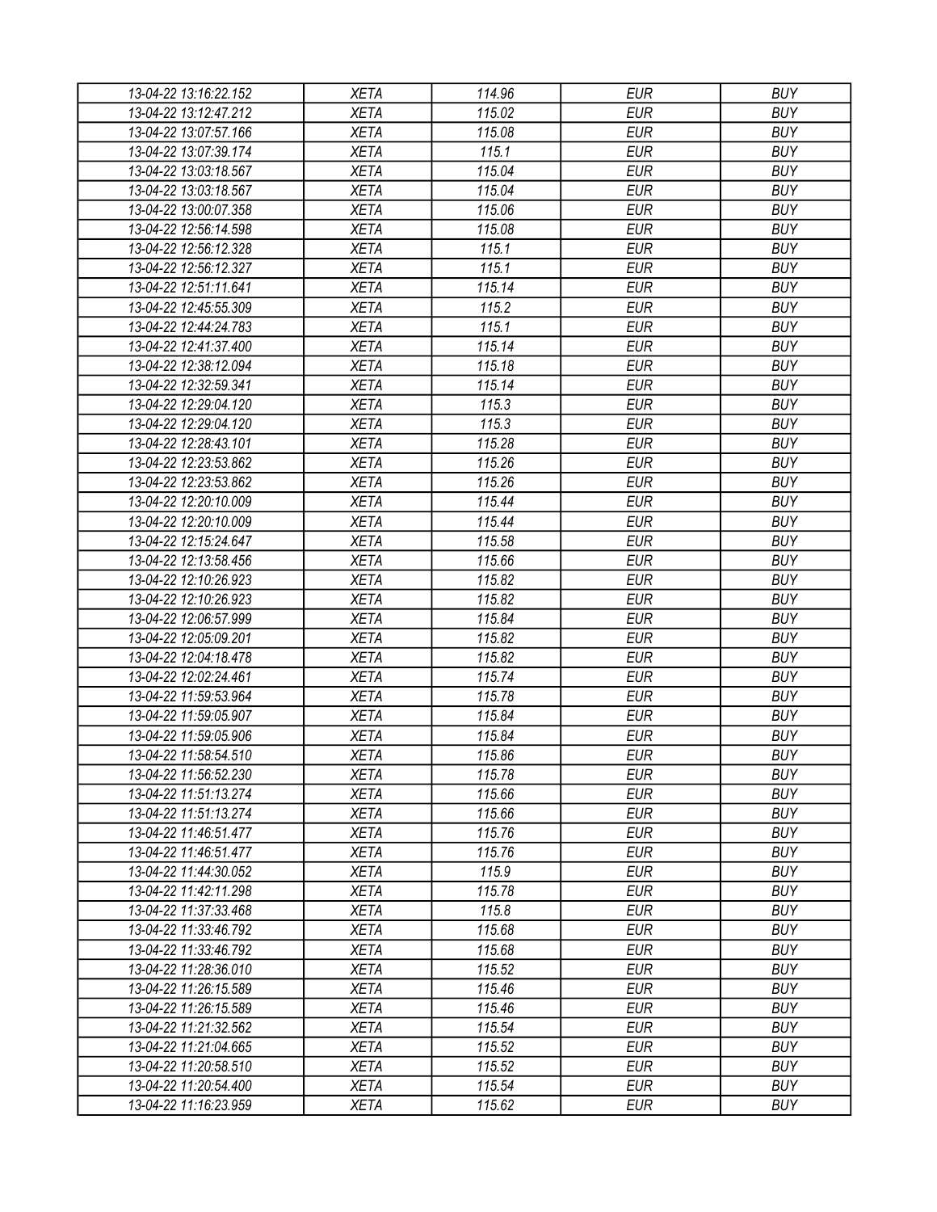| 13-04-22 13:16:22.152 | <b>XETA</b> | 114.96 | <b>EUR</b> | <b>BUY</b> |
|-----------------------|-------------|--------|------------|------------|
| 13-04-22 13:12:47.212 | <b>XETA</b> | 115.02 | <b>EUR</b> | <b>BUY</b> |
| 13-04-22 13:07:57.166 | <b>XETA</b> | 115.08 | <b>EUR</b> | <b>BUY</b> |
| 13-04-22 13:07:39.174 | <b>XETA</b> | 115.1  | <b>EUR</b> | <b>BUY</b> |
| 13-04-22 13:03:18.567 | <b>XETA</b> | 115.04 | <b>EUR</b> | <b>BUY</b> |
| 13-04-22 13:03:18.567 | <b>XETA</b> | 115.04 | <b>EUR</b> | <b>BUY</b> |
| 13-04-22 13:00:07.358 | <b>XETA</b> | 115.06 | <b>EUR</b> | <b>BUY</b> |
| 13-04-22 12:56:14.598 | <b>XETA</b> | 115.08 | <b>EUR</b> | <b>BUY</b> |
| 13-04-22 12:56:12.328 | <b>XETA</b> | 115.1  | <b>EUR</b> | <b>BUY</b> |
| 13-04-22 12:56:12.327 | <b>XETA</b> | 115.1  | <b>EUR</b> | <b>BUY</b> |
| 13-04-22 12:51:11.641 | <b>XETA</b> | 115.14 | <b>EUR</b> | <b>BUY</b> |
| 13-04-22 12:45:55.309 | <b>XETA</b> | 115.2  | <b>EUR</b> | <b>BUY</b> |
| 13-04-22 12:44:24.783 | <b>XETA</b> | 115.1  | <b>EUR</b> | <b>BUY</b> |
| 13-04-22 12:41:37.400 | <b>XETA</b> | 115.14 | <b>EUR</b> | <b>BUY</b> |
| 13-04-22 12:38:12.094 | <b>XETA</b> | 115.18 | <b>EUR</b> | <b>BUY</b> |
| 13-04-22 12:32:59.341 | <b>XETA</b> | 115.14 | <b>EUR</b> | <b>BUY</b> |
| 13-04-22 12:29:04.120 | <b>XETA</b> | 115.3  | <b>EUR</b> | <b>BUY</b> |
| 13-04-22 12:29:04.120 | <b>XETA</b> | 115.3  | <b>EUR</b> | <b>BUY</b> |
| 13-04-22 12:28:43.101 | <b>XETA</b> | 115.28 | <b>EUR</b> | <b>BUY</b> |
| 13-04-22 12:23:53.862 | <b>XETA</b> | 115.26 | <b>EUR</b> | <b>BUY</b> |
| 13-04-22 12:23:53.862 | <b>XETA</b> | 115.26 | <b>EUR</b> | <b>BUY</b> |
| 13-04-22 12:20:10.009 | <b>XETA</b> | 115.44 | <b>EUR</b> | <b>BUY</b> |
| 13-04-22 12:20:10.009 | <b>XETA</b> | 115.44 | <b>EUR</b> | <b>BUY</b> |
| 13-04-22 12:15:24.647 | <b>XETA</b> | 115.58 | <b>EUR</b> | <b>BUY</b> |
| 13-04-22 12:13:58.456 | <b>XETA</b> | 115.66 | <b>EUR</b> | <b>BUY</b> |
| 13-04-22 12:10:26.923 | <b>XETA</b> | 115.82 | <b>EUR</b> | <b>BUY</b> |
| 13-04-22 12:10:26.923 | <b>XETA</b> | 115.82 | <b>EUR</b> | <b>BUY</b> |
| 13-04-22 12:06:57.999 | <b>XETA</b> | 115.84 | <b>EUR</b> | <b>BUY</b> |
| 13-04-22 12:05:09.201 | <b>XETA</b> | 115.82 | <b>EUR</b> | <b>BUY</b> |
| 13-04-22 12:04:18.478 | <b>XETA</b> | 115.82 | <b>EUR</b> | <b>BUY</b> |
| 13-04-22 12:02:24.461 | <b>XETA</b> | 115.74 | <b>EUR</b> | <b>BUY</b> |
| 13-04-22 11:59:53.964 | <b>XETA</b> | 115.78 | <b>EUR</b> | <b>BUY</b> |
| 13-04-22 11:59:05.907 | <b>XETA</b> | 115.84 | <b>EUR</b> | <b>BUY</b> |
| 13-04-22 11:59:05.906 | <b>XETA</b> | 115.84 | <b>EUR</b> | <b>BUY</b> |
| 13-04-22 11:58:54.510 | <b>XETA</b> | 115.86 | <b>EUR</b> | <b>BUY</b> |
| 13-04-22 11:56:52.230 | <b>XETA</b> | 115.78 | <b>EUR</b> | <b>BUY</b> |
| 13-04-22 11:51:13.274 | <b>XETA</b> | 115.66 | <b>EUR</b> | <b>BUY</b> |
| 13-04-22 11:51:13.274 | <b>XETA</b> | 115.66 | <b>EUR</b> | <b>BUY</b> |
| 13-04-22 11:46:51.477 | <b>XETA</b> | 115.76 | <b>EUR</b> | <b>BUY</b> |
| 13-04-22 11:46:51.477 | <b>XETA</b> | 115.76 | <b>EUR</b> | <b>BUY</b> |
| 13-04-22 11:44:30.052 | <b>XETA</b> | 115.9  | <b>EUR</b> | <b>BUY</b> |
| 13-04-22 11:42:11.298 | <b>XETA</b> | 115.78 | <b>EUR</b> | <b>BUY</b> |
| 13-04-22 11:37:33.468 | <b>XETA</b> | 115.8  | <b>EUR</b> | <b>BUY</b> |
| 13-04-22 11:33:46.792 | <b>XETA</b> | 115.68 | <b>EUR</b> | <b>BUY</b> |
| 13-04-22 11:33:46.792 | <b>XETA</b> | 115.68 | <b>EUR</b> | <b>BUY</b> |
| 13-04-22 11:28:36.010 | <b>XETA</b> | 115.52 | <b>EUR</b> | <b>BUY</b> |
| 13-04-22 11:26:15.589 | <b>XETA</b> | 115.46 | <b>EUR</b> | <b>BUY</b> |
| 13-04-22 11:26:15.589 | <b>XETA</b> | 115.46 | <b>EUR</b> | <b>BUY</b> |
| 13-04-22 11:21:32.562 | <b>XETA</b> | 115.54 | <b>EUR</b> | <b>BUY</b> |
| 13-04-22 11:21:04.665 | <b>XETA</b> | 115.52 | <b>EUR</b> | <b>BUY</b> |
| 13-04-22 11:20:58.510 | <b>XETA</b> | 115.52 | <b>EUR</b> | <b>BUY</b> |
| 13-04-22 11:20:54.400 | <b>XETA</b> | 115.54 | <b>EUR</b> | <b>BUY</b> |
| 13-04-22 11:16:23.959 | <b>XETA</b> | 115.62 | <b>EUR</b> | <b>BUY</b> |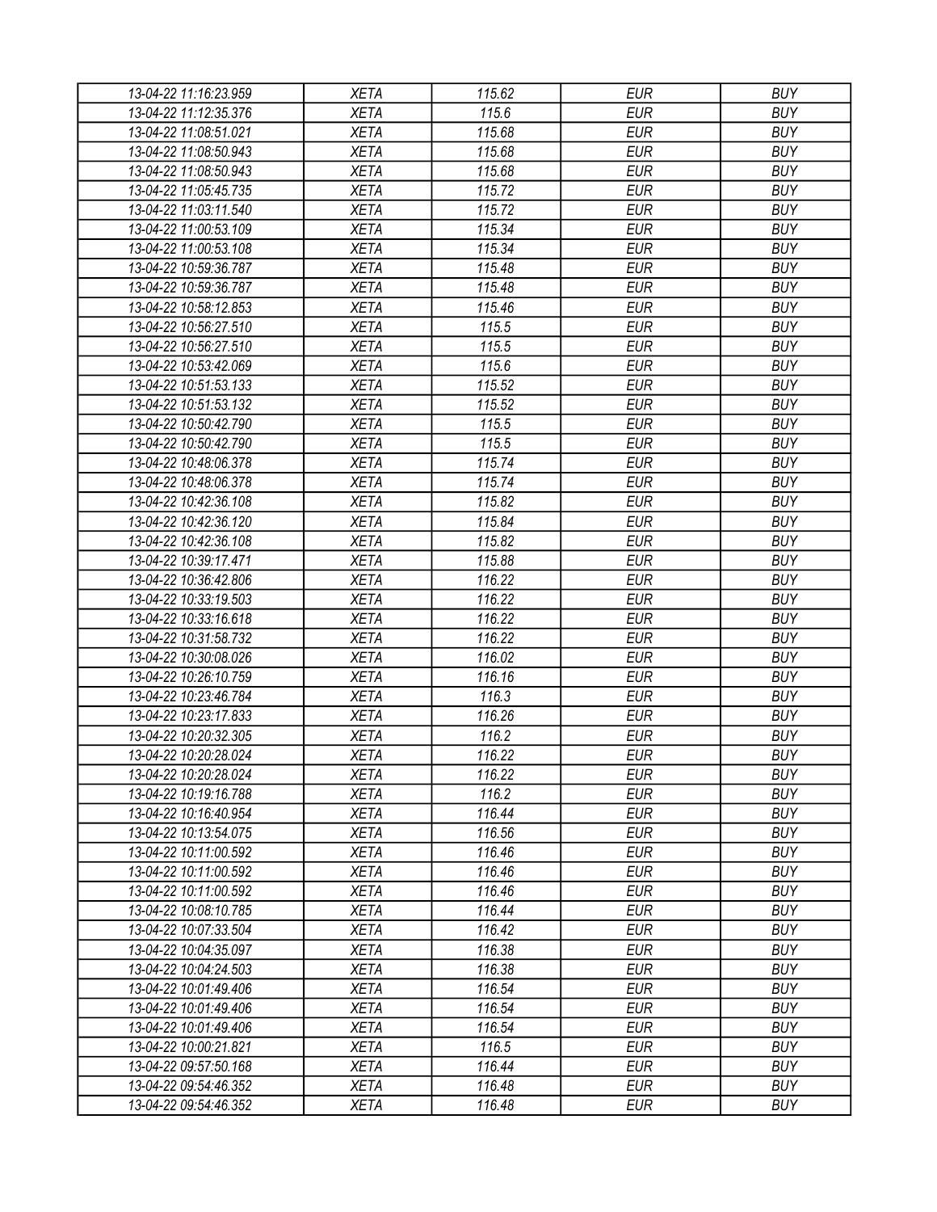| 13-04-22 11:16:23.959                          | XETA        | 115.62 | <b>EUR</b> | <b>BUY</b> |
|------------------------------------------------|-------------|--------|------------|------------|
| 13-04-22 11:12:35.376                          | <b>XETA</b> | 115.6  | <b>EUR</b> | <b>BUY</b> |
| 13-04-22 11:08:51.021                          | <b>XETA</b> | 115.68 | <b>EUR</b> | <b>BUY</b> |
| 13-04-22 11:08:50.943                          | <b>XETA</b> | 115.68 | <b>EUR</b> | <b>BUY</b> |
| 13-04-22 11:08:50.943                          | <b>XETA</b> | 115.68 | <b>EUR</b> | <b>BUY</b> |
| 13-04-22 11:05:45.735                          | <b>XETA</b> | 115.72 | <b>EUR</b> | <b>BUY</b> |
| 13-04-22 11:03:11.540                          | <b>XETA</b> | 115.72 | <b>EUR</b> | <b>BUY</b> |
| 13-04-22 11:00:53.109                          | <b>XETA</b> | 115.34 | <b>EUR</b> | <b>BUY</b> |
| 13-04-22 11:00:53.108                          | <b>XETA</b> | 115.34 | <b>EUR</b> | <b>BUY</b> |
| 13-04-22 10:59:36.787                          | <b>XETA</b> | 115.48 | <b>EUR</b> | <b>BUY</b> |
| 13-04-22 10:59:36.787                          | <b>XETA</b> | 115.48 | <b>EUR</b> | <b>BUY</b> |
| 13-04-22 10:58:12.853                          | <b>XETA</b> | 115.46 | <b>EUR</b> | <b>BUY</b> |
| 13-04-22 10:56:27.510                          | <b>XETA</b> | 115.5  | <b>EUR</b> | <b>BUY</b> |
| 13-04-22 10:56:27.510                          | <b>XETA</b> | 115.5  | <b>EUR</b> | <b>BUY</b> |
| 13-04-22 10:53:42.069                          | <b>XETA</b> | 115.6  | <b>EUR</b> | <b>BUY</b> |
| 13-04-22 10:51:53.133                          | <b>XETA</b> | 115.52 | <b>EUR</b> | <b>BUY</b> |
| 13-04-22 10:51:53.132                          | <b>XETA</b> | 115.52 | <b>EUR</b> | <b>BUY</b> |
| 13-04-22 10:50:42.790                          | <b>XETA</b> | 115.5  | <b>EUR</b> | <b>BUY</b> |
| 13-04-22 10:50:42.790                          | <b>XETA</b> | 115.5  | <b>EUR</b> | <b>BUY</b> |
| 13-04-22 10:48:06.378                          | <b>XETA</b> | 115.74 | <b>EUR</b> | <b>BUY</b> |
| 13-04-22 10:48:06.378                          | <b>XETA</b> | 115.74 | <b>EUR</b> | <b>BUY</b> |
| 13-04-22 10:42:36.108                          | <b>XETA</b> | 115.82 | <b>EUR</b> | <b>BUY</b> |
| 13-04-22 10:42:36.120                          | <b>XETA</b> | 115.84 | <b>EUR</b> | <b>BUY</b> |
| 13-04-22 10:42:36.108                          | <b>XETA</b> | 115.82 | <b>EUR</b> | <b>BUY</b> |
| 13-04-22 10:39:17.471                          | <b>XETA</b> | 115.88 | <b>EUR</b> | <b>BUY</b> |
| 13-04-22 10:36:42.806                          | <b>XETA</b> | 116.22 | <b>EUR</b> | <b>BUY</b> |
| 13-04-22 10:33:19.503                          | <b>XETA</b> | 116.22 | <b>EUR</b> | <b>BUY</b> |
| 13-04-22 10:33:16.618                          | <b>XETA</b> | 116.22 | <b>EUR</b> | <b>BUY</b> |
| 13-04-22 10:31:58.732                          | <b>XETA</b> | 116.22 | <b>EUR</b> | <b>BUY</b> |
| 13-04-22 10:30:08.026                          | <b>XETA</b> | 116.02 | <b>EUR</b> | <b>BUY</b> |
| 13-04-22 10:26:10.759                          | <b>XETA</b> | 116.16 | <b>EUR</b> | <b>BUY</b> |
| 13-04-22 10:23:46.784                          | <b>XETA</b> | 116.3  | <b>EUR</b> | <b>BUY</b> |
| 13-04-22 10:23:17.833                          | <b>XETA</b> | 116.26 | <b>EUR</b> | <b>BUY</b> |
| 13-04-22 10:20:32.305                          | <b>XETA</b> | 116.2  | <b>EUR</b> | <b>BUY</b> |
| 13-04-22 10:20:28.024                          | <b>XETA</b> | 116.22 | <b>EUR</b> | <b>BUY</b> |
| 13-04-22 10:20:28.024                          | <b>XETA</b> | 116.22 | <b>EUR</b> | <b>BUY</b> |
| 13-04-22 10:19:16.788                          | <b>XETA</b> | 116.2  | <b>EUR</b> | <b>BUY</b> |
| 13-04-22 10:16:40.954                          | <b>XETA</b> | 116.44 | <b>EUR</b> | <b>BUY</b> |
| 13-04-22 10:13:54.075                          | <b>XETA</b> | 116.56 | <b>EUR</b> | <b>BUY</b> |
| 13-04-22 10:11:00.592                          | <b>XETA</b> | 116.46 | <b>EUR</b> | <b>BUY</b> |
| 13-04-22 10:11:00.592                          | <b>XETA</b> | 116.46 | <b>EUR</b> | <b>BUY</b> |
| 13-04-22 10:11:00.592                          | <b>XETA</b> | 116.46 | <b>EUR</b> | <b>BUY</b> |
| 13-04-22 10:08:10.785                          | <b>XETA</b> | 116.44 | <b>EUR</b> | <b>BUY</b> |
| 13-04-22 10:07:33.504                          | <b>XETA</b> | 116.42 | <b>EUR</b> | <b>BUY</b> |
|                                                | <b>XETA</b> | 116.38 | <b>EUR</b> | <b>BUY</b> |
| 13-04-22 10:04:35.097<br>13-04-22 10:04:24.503 | <b>XETA</b> | 116.38 | <b>EUR</b> | <b>BUY</b> |
| 13-04-22 10:01:49.406                          | <b>XETA</b> | 116.54 | <b>EUR</b> | <b>BUY</b> |
|                                                | <b>XETA</b> | 116.54 | <b>EUR</b> | <b>BUY</b> |
| 13-04-22 10:01:49.406                          |             |        |            |            |
| 13-04-22 10:01:49.406                          | <b>XETA</b> | 116.54 | <b>EUR</b> | <b>BUY</b> |
| 13-04-22 10:00:21.821                          | <b>XETA</b> | 116.5  | <b>EUR</b> | <b>BUY</b> |
| 13-04-22 09:57:50.168                          | <b>XETA</b> | 116.44 | EUR        | <b>BUY</b> |
| 13-04-22 09:54:46.352                          | <b>XETA</b> | 116.48 | <b>EUR</b> | <b>BUY</b> |
| 13-04-22 09:54:46.352                          | <b>XETA</b> | 116.48 | <b>EUR</b> | <b>BUY</b> |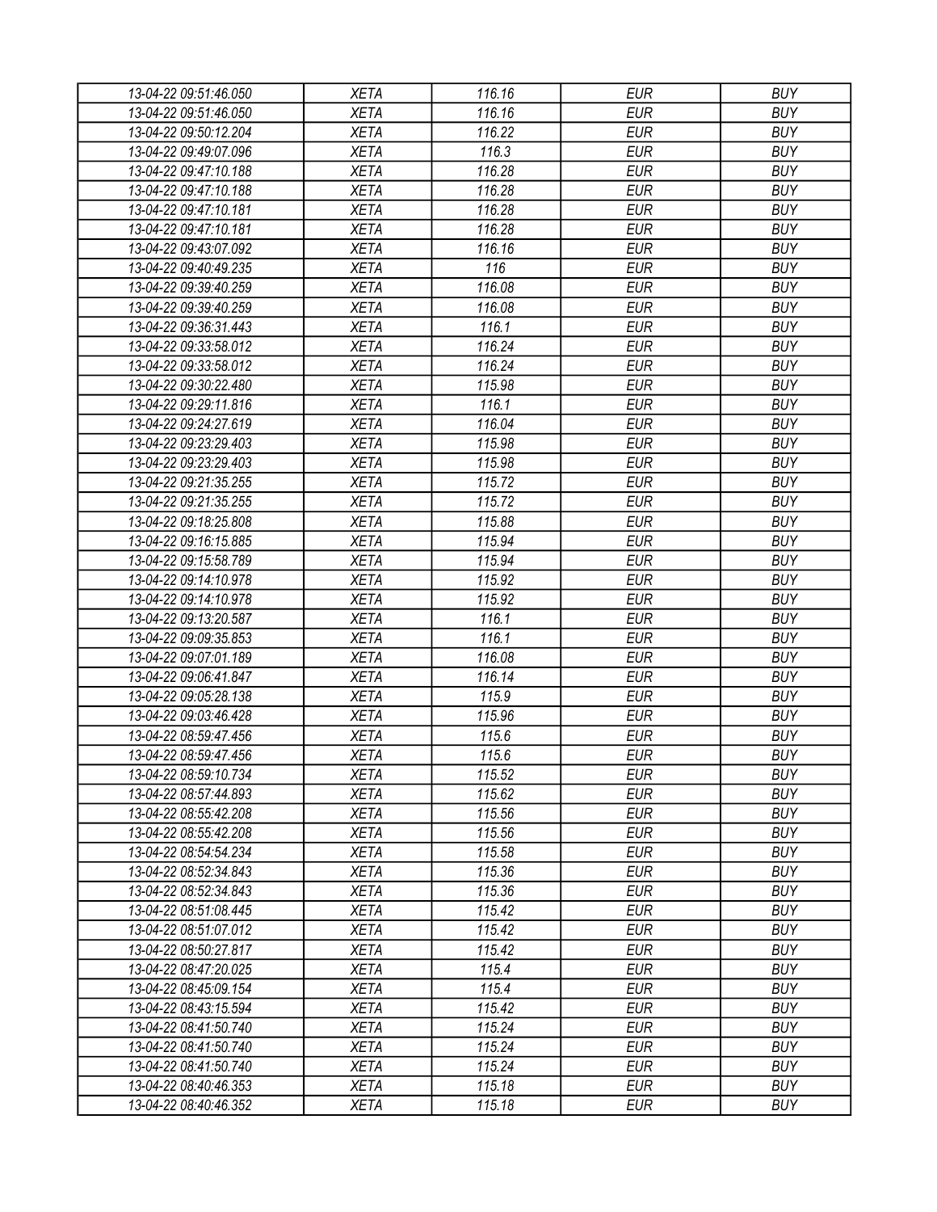| 13-04-22 09:51:46.050                          | <b>XETA</b> | 116.16           | <b>EUR</b> | <b>BUY</b> |
|------------------------------------------------|-------------|------------------|------------|------------|
| 13-04-22 09:51:46.050                          | <b>XETA</b> | 116.16           | <b>EUR</b> | <b>BUY</b> |
| 13-04-22 09:50:12.204                          | <b>XETA</b> | 116.22           | <b>EUR</b> | <b>BUY</b> |
| 13-04-22 09:49:07.096                          | <b>XETA</b> | 116.3            | <b>EUR</b> | <b>BUY</b> |
| 13-04-22 09:47:10.188                          | <b>XETA</b> | 116.28           | <b>EUR</b> | <b>BUY</b> |
| 13-04-22 09:47:10.188                          | <b>XETA</b> | 116.28           | <b>EUR</b> | <b>BUY</b> |
| 13-04-22 09:47:10.181                          | <b>XETA</b> | 116.28           | <b>EUR</b> | <b>BUY</b> |
| 13-04-22 09:47:10.181                          | <b>XETA</b> | 116.28           | <b>EUR</b> | <b>BUY</b> |
| 13-04-22 09:43:07.092                          | <b>XETA</b> | 116.16           | <b>EUR</b> | <b>BUY</b> |
| 13-04-22 09:40:49.235                          | <b>XETA</b> | 116              | <b>EUR</b> | <b>BUY</b> |
| 13-04-22 09:39:40.259                          | <b>XETA</b> | 116.08           | <b>EUR</b> | <b>BUY</b> |
| 13-04-22 09:39:40.259                          | <b>XETA</b> | 116.08           | <b>EUR</b> | <b>BUY</b> |
| 13-04-22 09:36:31.443                          | <b>XETA</b> | 116.1            | <b>EUR</b> | <b>BUY</b> |
| 13-04-22 09:33:58.012                          | <b>XETA</b> | 116.24           | <b>EUR</b> | <b>BUY</b> |
| 13-04-22 09:33:58.012                          | <b>XETA</b> | 116.24           | <b>EUR</b> | <b>BUY</b> |
| 13-04-22 09:30:22.480                          | <b>XETA</b> | 115.98           | <b>EUR</b> | <b>BUY</b> |
| 13-04-22 09:29:11.816                          | <b>XETA</b> | 116.1            | <b>EUR</b> | <b>BUY</b> |
| 13-04-22 09:24:27.619                          | <b>XETA</b> | 116.04           | <b>EUR</b> | <b>BUY</b> |
| 13-04-22 09:23:29.403                          | <b>XETA</b> | 115.98           | <b>EUR</b> | <b>BUY</b> |
| 13-04-22 09:23:29.403                          | <b>XETA</b> | 115.98           | <b>EUR</b> | <b>BUY</b> |
| 13-04-22 09:21:35.255                          | <b>XETA</b> | 115.72           | <b>EUR</b> | <b>BUY</b> |
| 13-04-22 09:21:35.255                          | <b>XETA</b> | 115.72           | <b>EUR</b> | <b>BUY</b> |
| 13-04-22 09:18:25.808                          | <b>XETA</b> | 115.88           | <b>EUR</b> | <b>BUY</b> |
| 13-04-22 09:16:15.885                          | <b>XETA</b> | 115.94           | <b>EUR</b> | <b>BUY</b> |
| 13-04-22 09:15:58.789                          | <b>XETA</b> | 115.94           | <b>EUR</b> | <b>BUY</b> |
| 13-04-22 09:14:10.978                          | <b>XETA</b> | 115.92           | <b>EUR</b> | <b>BUY</b> |
| 13-04-22 09:14:10.978                          | <b>XETA</b> | 115.92           | <b>EUR</b> | <b>BUY</b> |
| 13-04-22 09:13:20.587                          | <b>XETA</b> | 116.1            | <b>EUR</b> | <b>BUY</b> |
| 13-04-22 09:09:35.853                          | <b>XETA</b> | 116.1            | <b>EUR</b> | <b>BUY</b> |
| 13-04-22 09:07:01.189                          | <b>XETA</b> | 116.08           | <b>EUR</b> | <b>BUY</b> |
| 13-04-22 09:06:41.847                          | <b>XETA</b> | 116.14           | <b>EUR</b> | <b>BUY</b> |
| 13-04-22 09:05:28.138                          | <b>XETA</b> | 115.9            | <b>EUR</b> | <b>BUY</b> |
| 13-04-22 09:03:46.428                          | <b>XETA</b> | 115.96           | <b>EUR</b> | <b>BUY</b> |
| 13-04-22 08:59:47.456                          | <b>XETA</b> | 115.6            | <b>EUR</b> | <b>BUY</b> |
|                                                |             | 115.6            | <b>EUR</b> | <b>BUY</b> |
| 13-04-22 08:59:47.456<br>13-04-22 08:59:10.734 | <b>XETA</b> |                  |            |            |
|                                                | <b>XETA</b> | 115.52<br>115.62 | <b>EUR</b> | <b>BUY</b> |
| 13-04-22 08:57:44.893                          | <b>XETA</b> | 115.56           | <b>EUR</b> | <b>BUY</b> |
| 13-04-22 08:55:42.208                          | <b>XETA</b> |                  | <b>EUR</b> | <b>BUY</b> |
| 13-04-22 08:55:42.208                          | <b>XETA</b> | 115.56           | <b>EUR</b> | <b>BUY</b> |
| 13-04-22 08:54:54.234                          | <b>XETA</b> | 115.58           | <b>EUR</b> | <b>BUY</b> |
| 13-04-22 08:52:34.843                          | <b>XETA</b> | 115.36           | <b>EUR</b> | <b>BUY</b> |
| 13-04-22 08:52:34.843                          | <b>XETA</b> | 115.36           | <b>EUR</b> | <b>BUY</b> |
| 13-04-22 08:51:08.445                          | <b>XETA</b> | 115.42           | <b>EUR</b> | <b>BUY</b> |
| 13-04-22 08:51:07.012                          | <b>XETA</b> | 115.42           | <b>EUR</b> | <b>BUY</b> |
| 13-04-22 08:50:27.817                          | <b>XETA</b> | 115.42           | <b>EUR</b> | <b>BUY</b> |
| 13-04-22 08:47:20.025                          | <b>XETA</b> | 115.4            | <b>EUR</b> | <b>BUY</b> |
| 13-04-22 08:45:09.154                          | <b>XETA</b> | 115.4            | <b>EUR</b> | <b>BUY</b> |
| 13-04-22 08:43:15.594                          | <b>XETA</b> | 115.42           | <b>EUR</b> | <b>BUY</b> |
| 13-04-22 08:41:50.740                          | <b>XETA</b> | 115.24           | <b>EUR</b> | <b>BUY</b> |
| 13-04-22 08:41:50.740                          | <b>XETA</b> | 115.24           | <b>EUR</b> | <b>BUY</b> |
| 13-04-22 08:41:50.740                          | <b>XETA</b> | 115.24           | <b>EUR</b> | <b>BUY</b> |
| 13-04-22 08:40:46.353                          | <b>XETA</b> | 115.18           | <b>EUR</b> | <b>BUY</b> |
| 13-04-22 08:40:46.352                          | <b>XETA</b> | 115.18           | <b>EUR</b> | <b>BUY</b> |